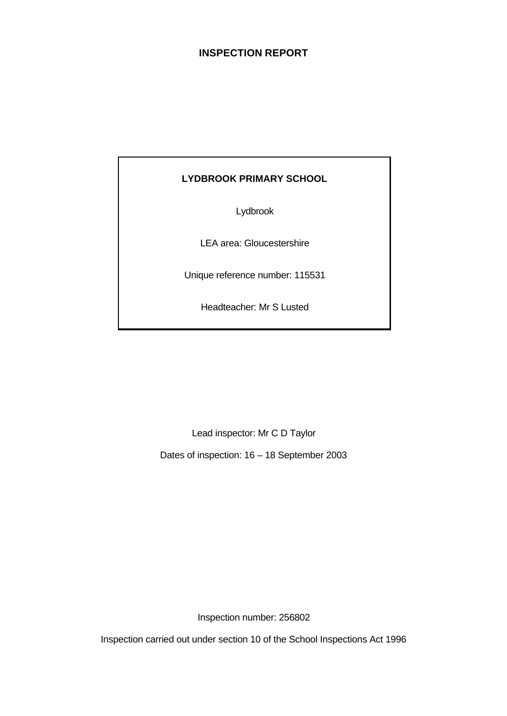# **INSPECTION REPORT**

# **LYDBROOK PRIMARY SCHOOL**

Lydbrook

LEA area: Gloucestershire

Unique reference number: 115531

Headteacher: Mr S Lusted

Lead inspector: Mr C D Taylor

Dates of inspection: 16 – 18 September 2003

Inspection number: 256802

Inspection carried out under section 10 of the School Inspections Act 1996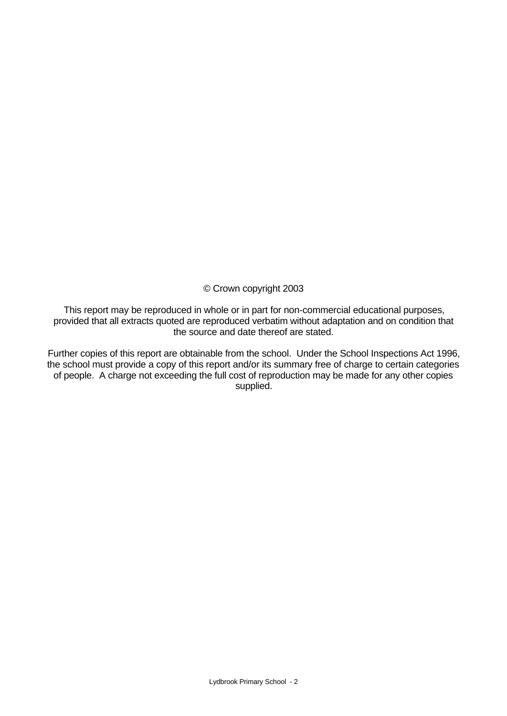© Crown copyright 2003

This report may be reproduced in whole or in part for non-commercial educational purposes, provided that all extracts quoted are reproduced verbatim without adaptation and on condition that the source and date thereof are stated.

Further copies of this report are obtainable from the school. Under the School Inspections Act 1996, the school must provide a copy of this report and/or its summary free of charge to certain categories of people. A charge not exceeding the full cost of reproduction may be made for any other copies supplied.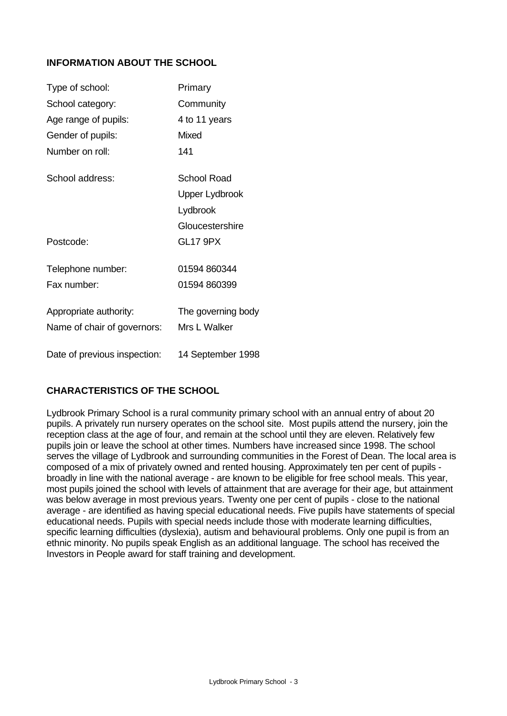# **INFORMATION ABOUT THE SCHOOL**

| Type of school:              | Primary               |
|------------------------------|-----------------------|
| School category:             | Community             |
| Age range of pupils:         | 4 to 11 years         |
| Gender of pupils:            | <b>Mixed</b>          |
| Number on roll:              | 141                   |
| School address:              | <b>School Road</b>    |
|                              | <b>Upper Lydbrook</b> |
|                              | Lydbrook              |
|                              | Gloucestershire       |
| Postcode:                    | <b>GL17 9PX</b>       |
| Telephone number:            | 01594 860344          |
| Fax number                   | 01594 860399          |
| Appropriate authority:       | The governing body    |
| Name of chair of governors:  | Mrs L Walker          |
| Date of previous inspection: | 14 September 1998     |

# **CHARACTERISTICS OF THE SCHOOL**

Lydbrook Primary School is a rural community primary school with an annual entry of about 20 pupils. A privately run nursery operates on the school site. Most pupils attend the nursery, join the reception class at the age of four, and remain at the school until they are eleven. Relatively few pupils join or leave the school at other times. Numbers have increased since 1998. The school serves the village of Lydbrook and surrounding communities in the Forest of Dean. The local area is composed of a mix of privately owned and rented housing. Approximately ten per cent of pupils broadly in line with the national average - are known to be eligible for free school meals. This year, most pupils joined the school with levels of attainment that are average for their age, but attainment was below average in most previous years. Twenty one per cent of pupils - close to the national average - are identified as having special educational needs. Five pupils have statements of special educational needs. Pupils with special needs include those with moderate learning difficulties, specific learning difficulties (dyslexia), autism and behavioural problems. Only one pupil is from an ethnic minority. No pupils speak English as an additional language. The school has received the Investors in People award for staff training and development.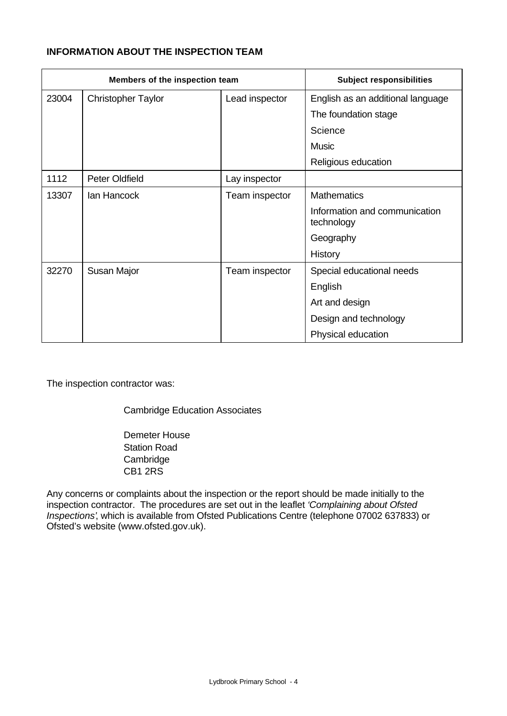# **INFORMATION ABOUT THE INSPECTION TEAM**

| Members of the inspection team |                           |                | <b>Subject responsibilities</b>             |
|--------------------------------|---------------------------|----------------|---------------------------------------------|
| 23004                          | <b>Christopher Taylor</b> | Lead inspector | English as an additional language           |
|                                |                           |                | The foundation stage                        |
|                                |                           |                | Science                                     |
|                                |                           |                | <b>Music</b>                                |
|                                |                           |                | Religious education                         |
| 1112                           | <b>Peter Oldfield</b>     | Lay inspector  |                                             |
| 13307                          | lan Hancock               | Team inspector | <b>Mathematics</b>                          |
|                                |                           |                | Information and communication<br>technology |
|                                |                           |                | Geography                                   |
|                                |                           |                | <b>History</b>                              |
| 32270                          | Susan Major               | Team inspector | Special educational needs                   |
|                                |                           |                | English                                     |
|                                |                           |                | Art and design                              |
|                                |                           |                | Design and technology                       |
|                                |                           |                | Physical education                          |

The inspection contractor was:

Cambridge Education Associates

Demeter House Station Road Cambridge CB1 2RS

Any concerns or complaints about the inspection or the report should be made initially to the inspection contractor. The procedures are set out in the leaflet *'Complaining about Ofsted Inspections'*, which is available from Ofsted Publications Centre (telephone 07002 637833) or Ofsted's website (www.ofsted.gov.uk).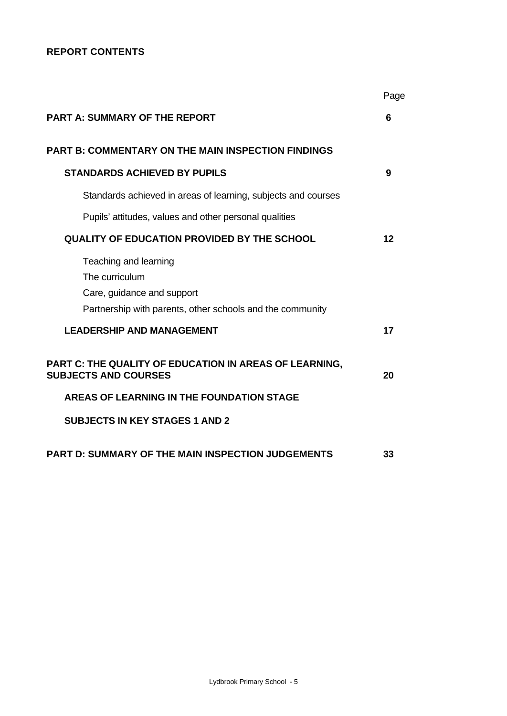# **REPORT CONTENTS**

|                                                                                                                                    | Page |
|------------------------------------------------------------------------------------------------------------------------------------|------|
| <b>PART A: SUMMARY OF THE REPORT</b>                                                                                               | 6    |
| <b>PART B: COMMENTARY ON THE MAIN INSPECTION FINDINGS</b>                                                                          |      |
| <b>STANDARDS ACHIEVED BY PUPILS</b>                                                                                                | 9    |
| Standards achieved in areas of learning, subjects and courses                                                                      |      |
| Pupils' attitudes, values and other personal qualities                                                                             |      |
| <b>QUALITY OF EDUCATION PROVIDED BY THE SCHOOL</b>                                                                                 | 12   |
| Teaching and learning<br>The curriculum<br>Care, guidance and support<br>Partnership with parents, other schools and the community |      |
| <b>LEADERSHIP AND MANAGEMENT</b>                                                                                                   | 17   |
| PART C: THE QUALITY OF EDUCATION IN AREAS OF LEARNING,<br><b>SUBJECTS AND COURSES</b>                                              | 20   |
| AREAS OF LEARNING IN THE FOUNDATION STAGE                                                                                          |      |
| <b>SUBJECTS IN KEY STAGES 1 AND 2</b>                                                                                              |      |
| <b>PART D: SUMMARY OF THE MAIN INSPECTION JUDGEMENTS</b>                                                                           | 33   |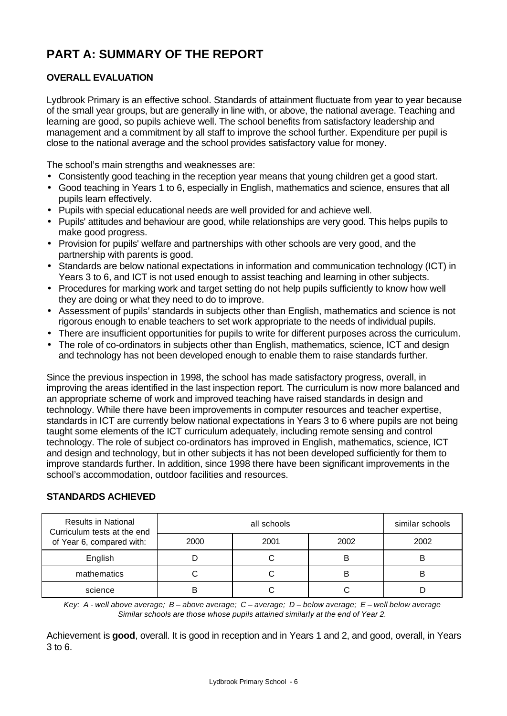# **PART A: SUMMARY OF THE REPORT**

# **OVERALL EVALUATION**

Lydbrook Primary is an effective school. Standards of attainment fluctuate from year to year because of the small year groups, but are generally in line with, or above, the national average. Teaching and learning are good, so pupils achieve well. The school benefits from satisfactory leadership and management and a commitment by all staff to improve the school further. Expenditure per pupil is close to the national average and the school provides satisfactory value for money.

The school's main strengths and weaknesses are:

- Consistently good teaching in the reception year means that young children get a good start.
- Good teaching in Years 1 to 6, especially in English, mathematics and science, ensures that all pupils learn effectively.
- Pupils with special educational needs are well provided for and achieve well.
- Pupils' attitudes and behaviour are good, while relationships are very good. This helps pupils to make good progress.
- Provision for pupils' welfare and partnerships with other schools are very good, and the partnership with parents is good.
- Standards are below national expectations in information and communication technology (ICT) in Years 3 to 6, and ICT is not used enough to assist teaching and learning in other subjects.
- Procedures for marking work and target setting do not help pupils sufficiently to know how well they are doing or what they need to do to improve.
- Assessment of pupils' standards in subjects other than English, mathematics and science is not rigorous enough to enable teachers to set work appropriate to the needs of individual pupils.
- There are insufficient opportunities for pupils to write for different purposes across the curriculum.
- The role of co-ordinators in subjects other than English, mathematics, science, ICT and design and technology has not been developed enough to enable them to raise standards further.

Since the previous inspection in 1998, the school has made satisfactory progress, overall, in improving the areas identified in the last inspection report. The curriculum is now more balanced and an appropriate scheme of work and improved teaching have raised standards in design and technology. While there have been improvements in computer resources and teacher expertise, standards in ICT are currently below national expectations in Years 3 to 6 where pupils are not being taught some elements of the ICT curriculum adequately, including remote sensing and control technology. The role of subject co-ordinators has improved in English, mathematics, science, ICT and design and technology, but in other subjects it has not been developed sufficiently for them to improve standards further. In addition, since 1998 there have been significant improvements in the school's accommodation, outdoor facilities and resources.

## **STANDARDS ACHIEVED**

| <b>Results in National</b><br>Curriculum tests at the end |      | similar schools |      |      |
|-----------------------------------------------------------|------|-----------------|------|------|
| of Year 6, compared with:                                 | 2000 | 2001            | 2002 | 2002 |
| English                                                   |      |                 | B    |      |
| mathematics                                               |      |                 | В    |      |
| science                                                   |      |                 |      |      |

*Key: A - well above average; B – above average; C – average; D – below average; E – well below average Similar schools are those whose pupils attained similarly at the end of Year 2.*

Achievement is **good**, overall. It is good in reception and in Years 1 and 2, and good, overall, in Years 3 to 6.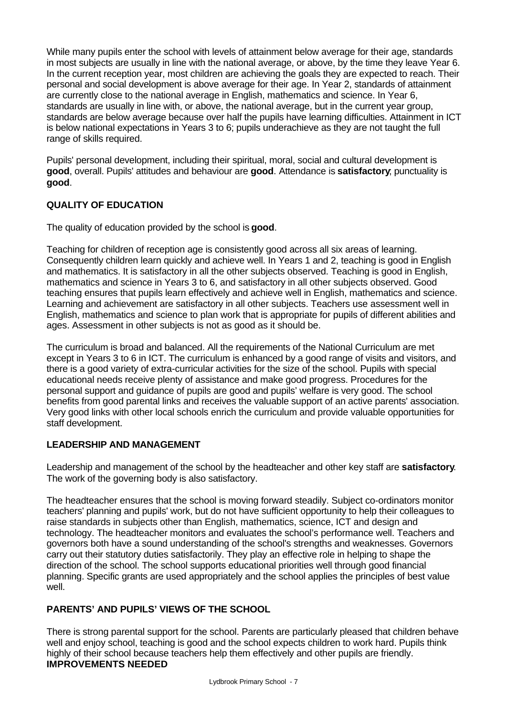While many pupils enter the school with levels of attainment below average for their age, standards in most subjects are usually in line with the national average, or above, by the time they leave Year 6. In the current reception year, most children are achieving the goals they are expected to reach. Their personal and social development is above average for their age. In Year 2, standards of attainment are currently close to the national average in English, mathematics and science. In Year 6, standards are usually in line with, or above, the national average, but in the current year group, standards are below average because over half the pupils have learning difficulties. Attainment in ICT is below national expectations in Years 3 to 6; pupils underachieve as they are not taught the full range of skills required.

Pupils' personal development, including their spiritual, moral, social and cultural development is **good**, overall. Pupils' attitudes and behaviour are **good**. Attendance is **satisfactory**; punctuality is **good**.

# **QUALITY OF EDUCATION**

The quality of education provided by the school is **good**.

Teaching for children of reception age is consistently good across all six areas of learning. Consequently children learn quickly and achieve well. In Years 1 and 2, teaching is good in English and mathematics. It is satisfactory in all the other subjects observed. Teaching is good in English, mathematics and science in Years 3 to 6, and satisfactory in all other subjects observed. Good teaching ensures that pupils learn effectively and achieve well in English, mathematics and science. Learning and achievement are satisfactory in all other subjects. Teachers use assessment well in English, mathematics and science to plan work that is appropriate for pupils of different abilities and ages. Assessment in other subjects is not as good as it should be.

The curriculum is broad and balanced. All the requirements of the National Curriculum are met except in Years 3 to 6 in ICT. The curriculum is enhanced by a good range of visits and visitors, and there is a good variety of extra-curricular activities for the size of the school. Pupils with special educational needs receive plenty of assistance and make good progress. Procedures for the personal support and guidance of pupils are good and pupils' welfare is very good. The school benefits from good parental links and receives the valuable support of an active parents' association. Very good links with other local schools enrich the curriculum and provide valuable opportunities for staff development.

# **LEADERSHIP AND MANAGEMENT**

Leadership and management of the school by the headteacher and other key staff are **satisfactory**. The work of the governing body is also satisfactory.

The headteacher ensures that the school is moving forward steadily. Subject co-ordinators monitor teachers' planning and pupils' work, but do not have sufficient opportunity to help their colleagues to raise standards in subjects other than English, mathematics, science, ICT and design and technology. The headteacher monitors and evaluates the school's performance well. Teachers and governors both have a sound understanding of the school's strengths and weaknesses. Governors carry out their statutory duties satisfactorily. They play an effective role in helping to shape the direction of the school. The school supports educational priorities well through good financial planning. Specific grants are used appropriately and the school applies the principles of best value well.

# **PARENTS' AND PUPILS' VIEWS OF THE SCHOOL**

There is strong parental support for the school. Parents are particularly pleased that children behave well and enjoy school, teaching is good and the school expects children to work hard. Pupils think highly of their school because teachers help them effectively and other pupils are friendly. **IMPROVEMENTS NEEDED**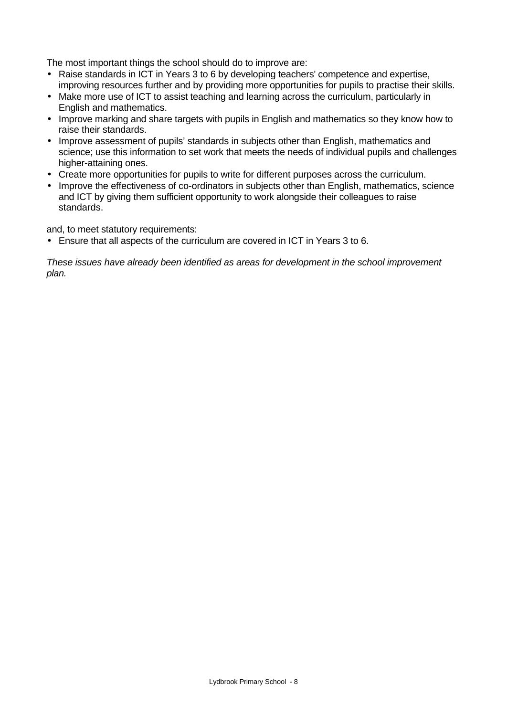The most important things the school should do to improve are:

- Raise standards in ICT in Years 3 to 6 by developing teachers' competence and expertise, improving resources further and by providing more opportunities for pupils to practise their skills.
- Make more use of ICT to assist teaching and learning across the curriculum, particularly in English and mathematics.
- Improve marking and share targets with pupils in English and mathematics so they know how to raise their standards.
- Improve assessment of pupils' standards in subjects other than English, mathematics and science; use this information to set work that meets the needs of individual pupils and challenges higher-attaining ones.
- Create more opportunities for pupils to write for different purposes across the curriculum.
- Improve the effectiveness of co-ordinators in subjects other than English, mathematics, science and ICT by giving them sufficient opportunity to work alongside their colleagues to raise standards.

and, to meet statutory requirements:

• Ensure that all aspects of the curriculum are covered in ICT in Years 3 to 6.

*These issues have already been identified as areas for development in the school improvement plan.*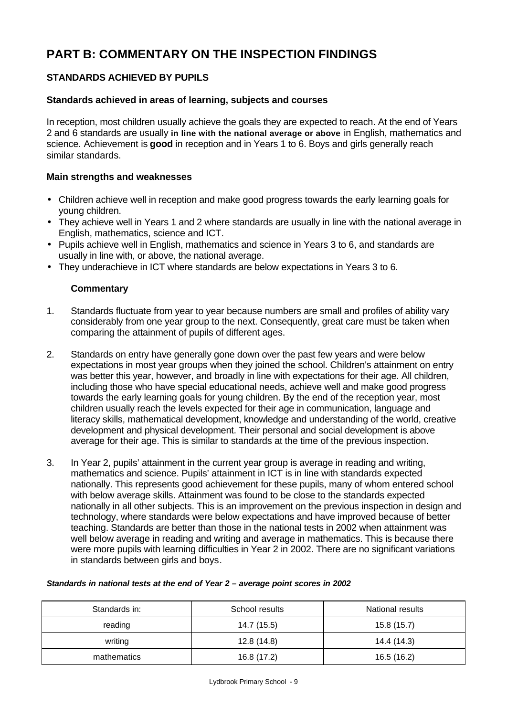# **PART B: COMMENTARY ON THE INSPECTION FINDINGS**

# **STANDARDS ACHIEVED BY PUPILS**

## **Standards achieved in areas of learning, subjects and courses**

In reception, most children usually achieve the goals they are expected to reach. At the end of Years 2 and 6 standards are usually **in line with the national average or above** in English, mathematics and science. Achievement is **good** in reception and in Years 1 to 6. Boys and girls generally reach similar standards.

#### **Main strengths and weaknesses**

- Children achieve well in reception and make good progress towards the early learning goals for young children.
- They achieve well in Years 1 and 2 where standards are usually in line with the national average in English, mathematics, science and ICT.
- Pupils achieve well in English, mathematics and science in Years 3 to 6, and standards are usually in line with, or above, the national average.
- They underachieve in ICT where standards are below expectations in Years 3 to 6.

## **Commentary**

- 1. Standards fluctuate from year to year because numbers are small and profiles of ability vary considerably from one year group to the next. Consequently, great care must be taken when comparing the attainment of pupils of different ages.
- 2. Standards on entry have generally gone down over the past few years and were below expectations in most year groups when they joined the school. Children's attainment on entry was better this year, however, and broadly in line with expectations for their age. All children, including those who have special educational needs, achieve well and make good progress towards the early learning goals for young children. By the end of the reception year, most children usually reach the levels expected for their age in communication, language and literacy skills, mathematical development, knowledge and understanding of the world, creative development and physical development. Their personal and social development is above average for their age. This is similar to standards at the time of the previous inspection.
- 3. In Year 2, pupils' attainment in the current year group is average in reading and writing, mathematics and science. Pupils' attainment in ICT is in line with standards expected nationally. This represents good achievement for these pupils, many of whom entered school with below average skills. Attainment was found to be close to the standards expected nationally in all other subjects. This is an improvement on the previous inspection in design and technology, where standards were below expectations and have improved because of better teaching. Standards are better than those in the national tests in 2002 when attainment was well below average in reading and writing and average in mathematics. This is because there were more pupils with learning difficulties in Year 2 in 2002. There are no significant variations in standards between girls and boys.

# Standards in: The School results Charles National results reading 14.7 (15.5) 15.8 (15.7) writing 12.8 (14.8) 14.4 (14.3) mathematics 16.8 (17.2) 16.5 (16.2)

#### *Standards in national tests at the end of Year 2 – average point scores in 2002*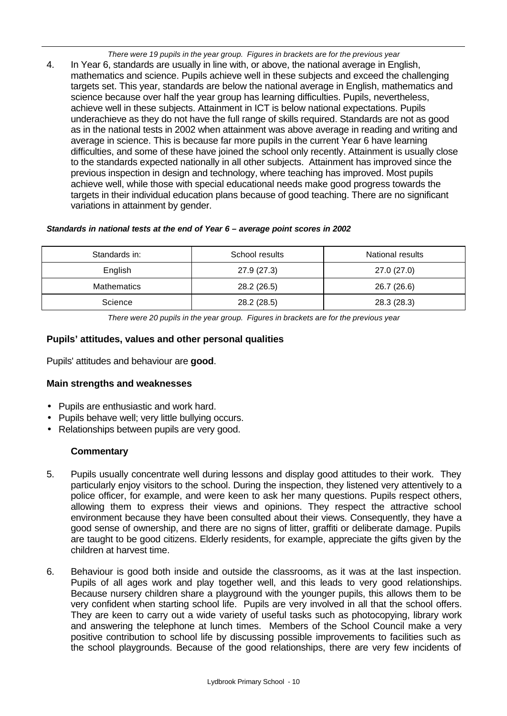*There were 19 pupils in the year group. Figures in brackets are for the previous year* 4. In Year 6, standards are usually in line with, or above, the national average in English, mathematics and science. Pupils achieve well in these subjects and exceed the challenging targets set. This year, standards are below the national average in English, mathematics and science because over half the year group has learning difficulties. Pupils, nevertheless, achieve well in these subjects. Attainment in ICT is below national expectations. Pupils underachieve as they do not have the full range of skills required. Standards are not as good as in the national tests in 2002 when attainment was above average in reading and writing and average in science. This is because far more pupils in the current Year 6 have learning difficulties, and some of these have joined the school only recently. Attainment is usually close to the standards expected nationally in all other subjects. Attainment has improved since the previous inspection in design and technology, where teaching has improved. Most pupils achieve well, while those with special educational needs make good progress towards the targets in their individual education plans because of good teaching. There are no significant variations in attainment by gender.

#### *Standards in national tests at the end of Year 6 – average point scores in 2002*

| Standards in:      | School results | National results |
|--------------------|----------------|------------------|
| English            | 27.9(27.3)     | 27.0 (27.0)      |
| <b>Mathematics</b> | 28.2 (26.5)    | 26.7 (26.6)      |
| Science            | 28.2 (28.5)    | 28.3 (28.3)      |

*There were 20 pupils in the year group. Figures in brackets are for the previous year*

## **Pupils' attitudes, values and other personal qualities**

Pupils' attitudes and behaviour are **good**.

## **Main strengths and weaknesses**

- Pupils are enthusiastic and work hard.
- Pupils behave well; very little bullying occurs.
- Relationships between pupils are very good.

## **Commentary**

- 5. Pupils usually concentrate well during lessons and display good attitudes to their work. They particularly enjoy visitors to the school. During the inspection, they listened very attentively to a police officer, for example, and were keen to ask her many questions. Pupils respect others, allowing them to express their views and opinions. They respect the attractive school environment because they have been consulted about their views. Consequently, they have a good sense of ownership, and there are no signs of litter, graffiti or deliberate damage. Pupils are taught to be good citizens. Elderly residents, for example, appreciate the gifts given by the children at harvest time.
- 6. Behaviour is good both inside and outside the classrooms, as it was at the last inspection. Pupils of all ages work and play together well, and this leads to very good relationships. Because nursery children share a playground with the younger pupils, this allows them to be very confident when starting school life. Pupils are very involved in all that the school offers. They are keen to carry out a wide variety of useful tasks such as photocopying, library work and answering the telephone at lunch times. Members of the School Council make a very positive contribution to school life by discussing possible improvements to facilities such as the school playgrounds. Because of the good relationships, there are very few incidents of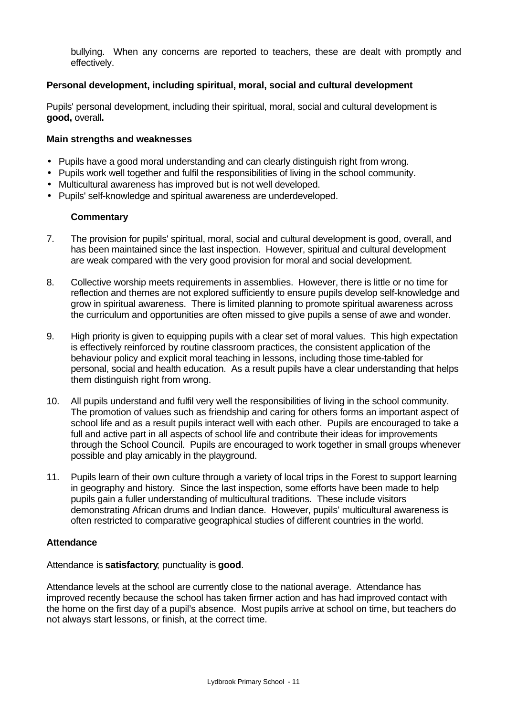bullying. When any concerns are reported to teachers, these are dealt with promptly and effectively.

## **Personal development, including spiritual, moral, social and cultural development**

Pupils' personal development, including their spiritual, moral, social and cultural development is **good,** overall**.**

#### **Main strengths and weaknesses**

- Pupils have a good moral understanding and can clearly distinguish right from wrong.
- Pupils work well together and fulfil the responsibilities of living in the school community.
- Multicultural awareness has improved but is not well developed.
- Pupils' self-knowledge and spiritual awareness are underdeveloped.

#### **Commentary**

- 7. The provision for pupils' spiritual, moral, social and cultural development is good, overall, and has been maintained since the last inspection. However, spiritual and cultural development are weak compared with the very good provision for moral and social development.
- 8. Collective worship meets requirements in assemblies. However, there is little or no time for reflection and themes are not explored sufficiently to ensure pupils develop self-knowledge and grow in spiritual awareness. There is limited planning to promote spiritual awareness across the curriculum and opportunities are often missed to give pupils a sense of awe and wonder.
- 9. High priority is given to equipping pupils with a clear set of moral values. This high expectation is effectively reinforced by routine classroom practices, the consistent application of the behaviour policy and explicit moral teaching in lessons, including those time-tabled for personal, social and health education. As a result pupils have a clear understanding that helps them distinguish right from wrong.
- 10. All pupils understand and fulfil very well the responsibilities of living in the school community. The promotion of values such as friendship and caring for others forms an important aspect of school life and as a result pupils interact well with each other. Pupils are encouraged to take a full and active part in all aspects of school life and contribute their ideas for improvements through the School Council. Pupils are encouraged to work together in small groups whenever possible and play amicably in the playground.
- 11. Pupils learn of their own culture through a variety of local trips in the Forest to support learning in geography and history. Since the last inspection, some efforts have been made to help pupils gain a fuller understanding of multicultural traditions. These include visitors demonstrating African drums and Indian dance. However, pupils' multicultural awareness is often restricted to comparative geographical studies of different countries in the world.

#### **Attendance**

#### Attendance is **satisfactory**; punctuality is **good**.

Attendance levels at the school are currently close to the national average. Attendance has improved recently because the school has taken firmer action and has had improved contact with the home on the first day of a pupil's absence. Most pupils arrive at school on time, but teachers do not always start lessons, or finish, at the correct time.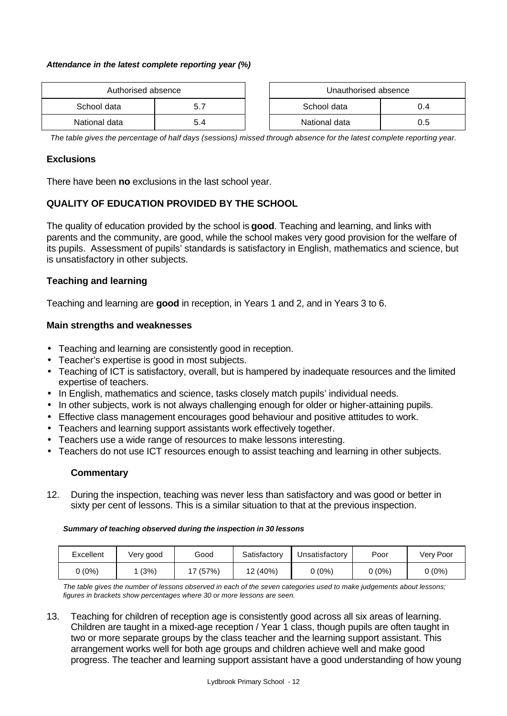#### *Attendance in the latest complete reporting year (%)*

| Authorised absence |     | Unauthorised absence |               |     |
|--------------------|-----|----------------------|---------------|-----|
| School data        | 5.7 |                      | School data   | 0.4 |
| National data      | 5.4 |                      | National data | 0.5 |

| Unauthorised absence |     |  |  |
|----------------------|-----|--|--|
| School data<br>በ 4   |     |  |  |
| National data        | ი 5 |  |  |

*The table gives the percentage of half days (sessions) missed through absence for the latest complete reporting year.*

#### **Exclusions**

There have been **no** exclusions in the last school year.

## **QUALITY OF EDUCATION PROVIDED BY THE SCHOOL**

The quality of education provided by the school is **good**. Teaching and learning, and links with parents and the community, are good, while the school makes very good provision for the welfare of its pupils. Assessment of pupils' standards is satisfactory in English, mathematics and science, but is unsatisfactory in other subjects.

#### **Teaching and learning**

Teaching and learning are **good** in reception, in Years 1 and 2, and in Years 3 to 6.

#### **Main strengths and weaknesses**

- Teaching and learning are consistently good in reception.
- Teacher's expertise is good in most subjects.
- Teaching of ICT is satisfactory, overall, but is hampered by inadequate resources and the limited expertise of teachers.
- In English, mathematics and science, tasks closely match pupils' individual needs.
- In other subjects, work is not always challenging enough for older or higher-attaining pupils.
- Effective class management encourages good behaviour and positive attitudes to work.
- Teachers and learning support assistants work effectively together.
- Teachers use a wide range of resources to make lessons interesting.
- Teachers do not use ICT resources enough to assist teaching and learning in other subjects.

#### **Commentary**

12. During the inspection, teaching was never less than satisfactory and was good or better in sixty per cent of lessons. This is a similar situation to that at the previous inspection.

#### *Summary of teaching observed during the inspection in 30 lessons*

| Excellent | Very good | Good    | Satisfactory | Unsatisfactory | Poor     | Very Poor |
|-----------|-----------|---------|--------------|----------------|----------|-----------|
| ს (0%)    | (3%)      | ' (57%) | 12 (40%)     | 0 (0%)         | $0(0\%)$ | (0%)      |

*The table gives the number of lessons observed in each of the seven categories used to make judgements about lessons; figures in brackets show percentages where 30 or more lessons are seen.*

13. Teaching for children of reception age is consistently good across all six areas of learning. Children are taught in a mixed-age reception / Year 1 class, though pupils are often taught in two or more separate groups by the class teacher and the learning support assistant. This arrangement works well for both age groups and children achieve well and make good progress. The teacher and learning support assistant have a good understanding of how young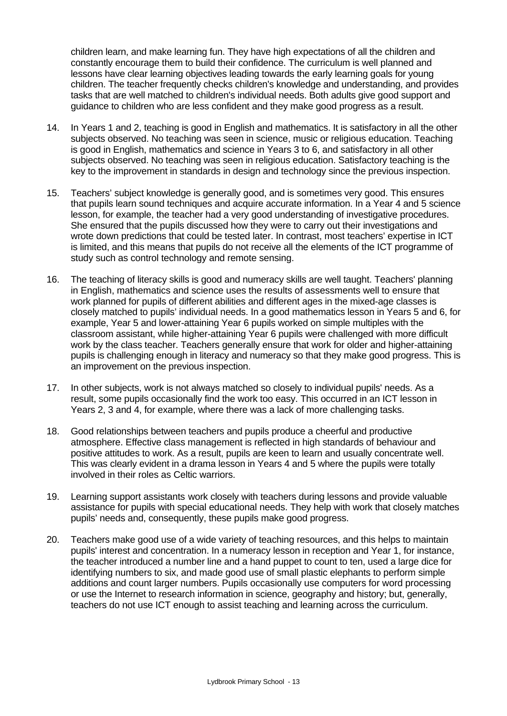children learn, and make learning fun. They have high expectations of all the children and constantly encourage them to build their confidence. The curriculum is well planned and lessons have clear learning objectives leading towards the early learning goals for young children. The teacher frequently checks children's knowledge and understanding, and provides tasks that are well matched to children's individual needs. Both adults give good support and guidance to children who are less confident and they make good progress as a result.

- 14. In Years 1 and 2, teaching is good in English and mathematics. It is satisfactory in all the other subjects observed. No teaching was seen in science, music or religious education. Teaching is good in English, mathematics and science in Years 3 to 6, and satisfactory in all other subjects observed. No teaching was seen in religious education. Satisfactory teaching is the key to the improvement in standards in design and technology since the previous inspection.
- 15. Teachers' subject knowledge is generally good, and is sometimes very good. This ensures that pupils learn sound techniques and acquire accurate information. In a Year 4 and 5 science lesson, for example, the teacher had a very good understanding of investigative procedures. She ensured that the pupils discussed how they were to carry out their investigations and wrote down predictions that could be tested later. In contrast, most teachers' expertise in ICT is limited, and this means that pupils do not receive all the elements of the ICT programme of study such as control technology and remote sensing.
- 16. The teaching of literacy skills is good and numeracy skills are well taught. Teachers' planning in English, mathematics and science uses the results of assessments well to ensure that work planned for pupils of different abilities and different ages in the mixed-age classes is closely matched to pupils' individual needs. In a good mathematics lesson in Years 5 and 6, for example, Year 5 and lower-attaining Year 6 pupils worked on simple multiples with the classroom assistant, while higher-attaining Year 6 pupils were challenged with more difficult work by the class teacher. Teachers generally ensure that work for older and higher-attaining pupils is challenging enough in literacy and numeracy so that they make good progress. This is an improvement on the previous inspection.
- 17. In other subjects, work is not always matched so closely to individual pupils' needs. As a result, some pupils occasionally find the work too easy. This occurred in an ICT lesson in Years 2, 3 and 4, for example, where there was a lack of more challenging tasks.
- 18. Good relationships between teachers and pupils produce a cheerful and productive atmosphere. Effective class management is reflected in high standards of behaviour and positive attitudes to work. As a result, pupils are keen to learn and usually concentrate well. This was clearly evident in a drama lesson in Years 4 and 5 where the pupils were totally involved in their roles as Celtic warriors.
- 19. Learning support assistants work closely with teachers during lessons and provide valuable assistance for pupils with special educational needs. They help with work that closely matches pupils' needs and, consequently, these pupils make good progress.
- 20. Teachers make good use of a wide variety of teaching resources, and this helps to maintain pupils' interest and concentration. In a numeracy lesson in reception and Year 1, for instance, the teacher introduced a number line and a hand puppet to count to ten, used a large dice for identifying numbers to six, and made good use of small plastic elephants to perform simple additions and count larger numbers. Pupils occasionally use computers for word processing or use the Internet to research information in science, geography and history; but, generally, teachers do not use ICT enough to assist teaching and learning across the curriculum.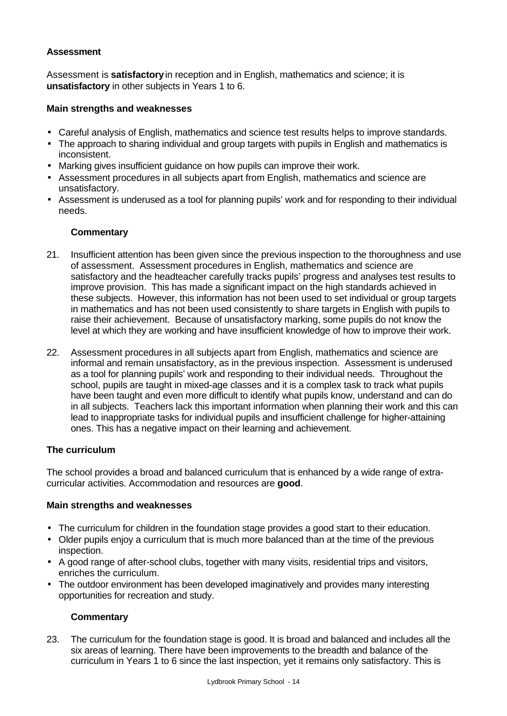## **Assessment**

Assessment is **satisfactory** in reception and in English, mathematics and science; it is **unsatisfactory** in other subjects in Years 1 to 6.

#### **Main strengths and weaknesses**

- Careful analysis of English, mathematics and science test results helps to improve standards.
- The approach to sharing individual and group targets with pupils in English and mathematics is inconsistent.
- Marking gives insufficient guidance on how pupils can improve their work.
- Assessment procedures in all subjects apart from English, mathematics and science are unsatisfactory.
- Assessment is underused as a tool for planning pupils' work and for responding to their individual needs.

## **Commentary**

- 21. Insufficient attention has been given since the previous inspection to the thoroughness and use of assessment. Assessment procedures in English, mathematics and science are satisfactory and the headteacher carefully tracks pupils' progress and analyses test results to improve provision. This has made a significant impact on the high standards achieved in these subjects. However, this information has not been used to set individual or group targets in mathematics and has not been used consistently to share targets in English with pupils to raise their achievement. Because of unsatisfactory marking, some pupils do not know the level at which they are working and have insufficient knowledge of how to improve their work.
- 22. Assessment procedures in all subjects apart from English, mathematics and science are informal and remain unsatisfactory, as in the previous inspection. Assessment is underused as a tool for planning pupils' work and responding to their individual needs. Throughout the school, pupils are taught in mixed-age classes and it is a complex task to track what pupils have been taught and even more difficult to identify what pupils know, understand and can do in all subjects. Teachers lack this important information when planning their work and this can lead to inappropriate tasks for individual pupils and insufficient challenge for higher-attaining ones. This has a negative impact on their learning and achievement.

## **The curriculum**

The school provides a broad and balanced curriculum that is enhanced by a wide range of extracurricular activities. Accommodation and resources are **good**.

## **Main strengths and weaknesses**

- The curriculum for children in the foundation stage provides a good start to their education.
- Older pupils enjoy a curriculum that is much more balanced than at the time of the previous inspection.
- A good range of after-school clubs, together with many visits, residential trips and visitors, enriches the curriculum.
- The outdoor environment has been developed imaginatively and provides many interesting opportunities for recreation and study.

## **Commentary**

23. The curriculum for the foundation stage is good. It is broad and balanced and includes all the six areas of learning. There have been improvements to the breadth and balance of the curriculum in Years 1 to 6 since the last inspection, yet it remains only satisfactory. This is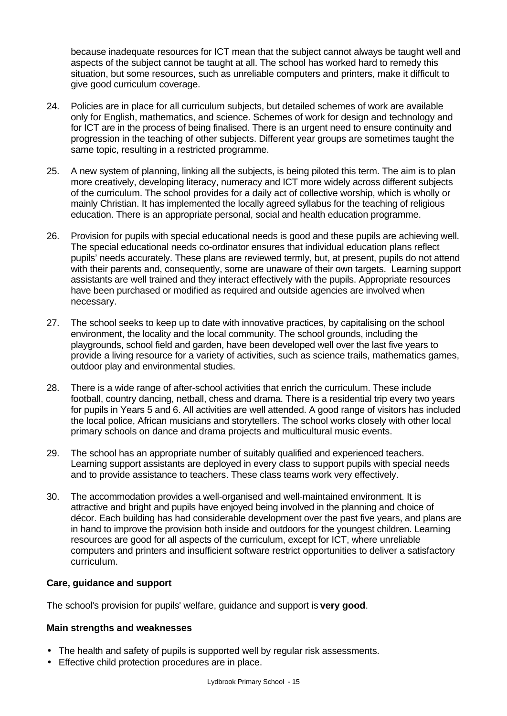because inadequate resources for ICT mean that the subject cannot always be taught well and aspects of the subject cannot be taught at all. The school has worked hard to remedy this situation, but some resources, such as unreliable computers and printers, make it difficult to give good curriculum coverage.

- 24. Policies are in place for all curriculum subjects, but detailed schemes of work are available only for English, mathematics, and science. Schemes of work for design and technology and for ICT are in the process of being finalised. There is an urgent need to ensure continuity and progression in the teaching of other subjects. Different year groups are sometimes taught the same topic, resulting in a restricted programme.
- 25. A new system of planning, linking all the subjects, is being piloted this term. The aim is to plan more creatively, developing literacy, numeracy and ICT more widely across different subjects of the curriculum. The school provides for a daily act of collective worship, which is wholly or mainly Christian. It has implemented the locally agreed syllabus for the teaching of religious education. There is an appropriate personal, social and health education programme.
- 26. Provision for pupils with special educational needs is good and these pupils are achieving well. The special educational needs co-ordinator ensures that individual education plans reflect pupils' needs accurately. These plans are reviewed termly, but, at present, pupils do not attend with their parents and, consequently, some are unaware of their own targets. Learning support assistants are well trained and they interact effectively with the pupils. Appropriate resources have been purchased or modified as required and outside agencies are involved when necessary.
- 27. The school seeks to keep up to date with innovative practices, by capitalising on the school environment, the locality and the local community. The school grounds, including the playgrounds, school field and garden, have been developed well over the last five years to provide a living resource for a variety of activities, such as science trails, mathematics games, outdoor play and environmental studies.
- 28. There is a wide range of after-school activities that enrich the curriculum. These include football, country dancing, netball, chess and drama. There is a residential trip every two years for pupils in Years 5 and 6. All activities are well attended. A good range of visitors has included the local police, African musicians and storytellers. The school works closely with other local primary schools on dance and drama projects and multicultural music events.
- 29. The school has an appropriate number of suitably qualified and experienced teachers. Learning support assistants are deployed in every class to support pupils with special needs and to provide assistance to teachers. These class teams work very effectively.
- 30. The accommodation provides a well-organised and well-maintained environment. It is attractive and bright and pupils have enjoyed being involved in the planning and choice of décor. Each building has had considerable development over the past five years, and plans are in hand to improve the provision both inside and outdoors for the youngest children. Learning resources are good for all aspects of the curriculum, except for ICT, where unreliable computers and printers and insufficient software restrict opportunities to deliver a satisfactory curriculum.

## **Care, guidance and support**

The school's provision for pupils' welfare, guidance and support is **very good**.

# **Main strengths and weaknesses**

- The health and safety of pupils is supported well by regular risk assessments.
- Effective child protection procedures are in place.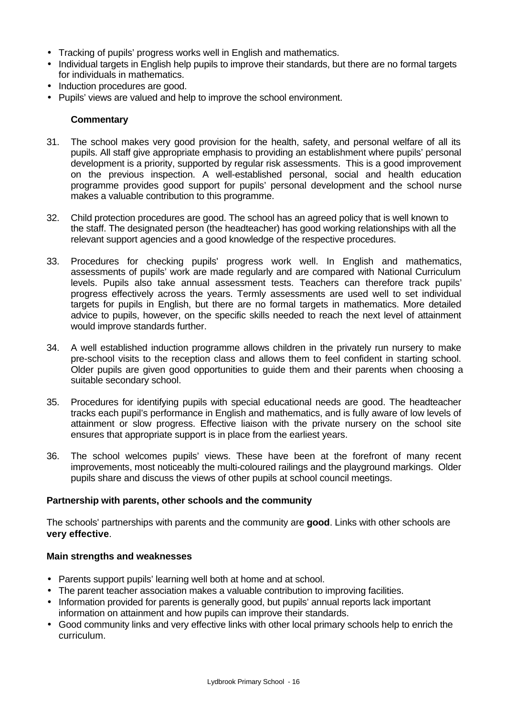- Tracking of pupils' progress works well in English and mathematics.
- Individual targets in English help pupils to improve their standards, but there are no formal targets for individuals in mathematics.
- Induction procedures are good.
- Pupils' views are valued and help to improve the school environment.

#### **Commentary**

- 31. The school makes very good provision for the health, safety, and personal welfare of all its pupils. All staff give appropriate emphasis to providing an establishment where pupils' personal development is a priority, supported by regular risk assessments. This is a good improvement on the previous inspection. A well-established personal, social and health education programme provides good support for pupils' personal development and the school nurse makes a valuable contribution to this programme.
- 32. Child protection procedures are good. The school has an agreed policy that is well known to the staff. The designated person (the headteacher) has good working relationships with all the relevant support agencies and a good knowledge of the respective procedures.
- 33. Procedures for checking pupils' progress work well. In English and mathematics, assessments of pupils' work are made regularly and are compared with National Curriculum levels. Pupils also take annual assessment tests. Teachers can therefore track pupils' progress effectively across the years. Termly assessments are used well to set individual targets for pupils in English, but there are no formal targets in mathematics. More detailed advice to pupils, however, on the specific skills needed to reach the next level of attainment would improve standards further.
- 34. A well established induction programme allows children in the privately run nursery to make pre-school visits to the reception class and allows them to feel confident in starting school. Older pupils are given good opportunities to guide them and their parents when choosing a suitable secondary school.
- 35. Procedures for identifying pupils with special educational needs are good. The headteacher tracks each pupil's performance in English and mathematics, and is fully aware of low levels of attainment or slow progress. Effective liaison with the private nursery on the school site ensures that appropriate support is in place from the earliest years.
- 36. The school welcomes pupils' views. These have been at the forefront of many recent improvements, most noticeably the multi-coloured railings and the playground markings. Older pupils share and discuss the views of other pupils at school council meetings.

#### **Partnership with parents, other schools and the community**

The schools' partnerships with parents and the community are **good**. Links with other schools are **very effective**.

#### **Main strengths and weaknesses**

- Parents support pupils' learning well both at home and at school.
- The parent teacher association makes a valuable contribution to improving facilities.
- Information provided for parents is generally good, but pupils' annual reports lack important information on attainment and how pupils can improve their standards.
- Good community links and very effective links with other local primary schools help to enrich the curriculum.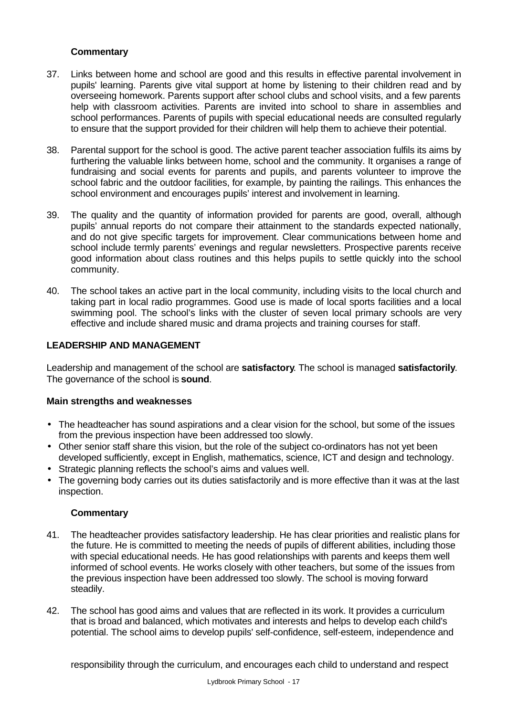## **Commentary**

- 37. Links between home and school are good and this results in effective parental involvement in pupils' learning. Parents give vital support at home by listening to their children read and by overseeing homework. Parents support after school clubs and school visits, and a few parents help with classroom activities. Parents are invited into school to share in assemblies and school performances. Parents of pupils with special educational needs are consulted regularly to ensure that the support provided for their children will help them to achieve their potential.
- 38. Parental support for the school is good. The active parent teacher association fulfils its aims by furthering the valuable links between home, school and the community. It organises a range of fundraising and social events for parents and pupils, and parents volunteer to improve the school fabric and the outdoor facilities, for example, by painting the railings. This enhances the school environment and encourages pupils' interest and involvement in learning.
- 39. The quality and the quantity of information provided for parents are good, overall, although pupils' annual reports do not compare their attainment to the standards expected nationally, and do not give specific targets for improvement. Clear communications between home and school include termly parents' evenings and regular newsletters. Prospective parents receive good information about class routines and this helps pupils to settle quickly into the school community.
- 40. The school takes an active part in the local community, including visits to the local church and taking part in local radio programmes. Good use is made of local sports facilities and a local swimming pool. The school's links with the cluster of seven local primary schools are very effective and include shared music and drama projects and training courses for staff.

## **LEADERSHIP AND MANAGEMENT**

Leadership and management of the school are **satisfactory**. The school is managed **satisfactorily**. The governance of the school is **sound**.

## **Main strengths and weaknesses**

- The headteacher has sound aspirations and a clear vision for the school, but some of the issues from the previous inspection have been addressed too slowly.
- Other senior staff share this vision, but the role of the subject co-ordinators has not yet been developed sufficiently, except in English, mathematics, science, ICT and design and technology.
- Strategic planning reflects the school's aims and values well.
- The governing body carries out its duties satisfactorily and is more effective than it was at the last inspection.

## **Commentary**

- 41. The headteacher provides satisfactory leadership. He has clear priorities and realistic plans for the future. He is committed to meeting the needs of pupils of different abilities, including those with special educational needs. He has good relationships with parents and keeps them well informed of school events. He works closely with other teachers, but some of the issues from the previous inspection have been addressed too slowly. The school is moving forward steadily.
- 42. The school has good aims and values that are reflected in its work. It provides a curriculum that is broad and balanced, which motivates and interests and helps to develop each child's potential. The school aims to develop pupils' self-confidence, self-esteem, independence and

responsibility through the curriculum, and encourages each child to understand and respect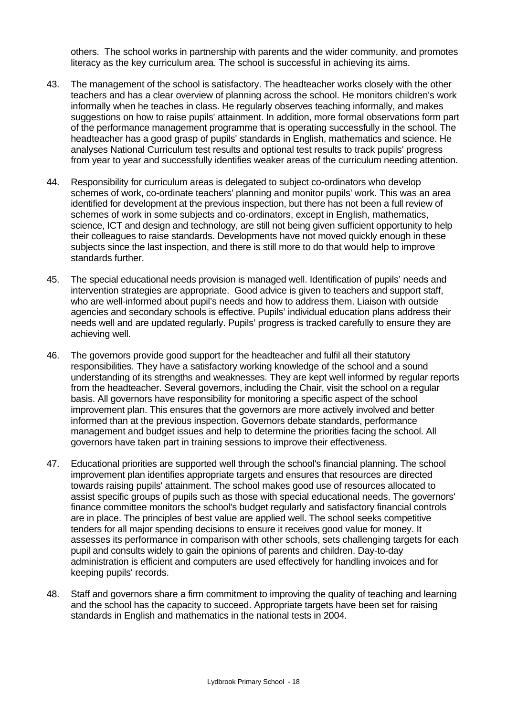others. The school works in partnership with parents and the wider community, and promotes literacy as the key curriculum area. The school is successful in achieving its aims.

- 43. The management of the school is satisfactory. The headteacher works closely with the other teachers and has a clear overview of planning across the school. He monitors children's work informally when he teaches in class. He regularly observes teaching informally, and makes suggestions on how to raise pupils' attainment. In addition, more formal observations form part of the performance management programme that is operating successfully in the school. The headteacher has a good grasp of pupils' standards in English, mathematics and science. He analyses National Curriculum test results and optional test results to track pupils' progress from year to year and successfully identifies weaker areas of the curriculum needing attention.
- 44. Responsibility for curriculum areas is delegated to subject co-ordinators who develop schemes of work, co-ordinate teachers' planning and monitor pupils' work. This was an area identified for development at the previous inspection, but there has not been a full review of schemes of work in some subjects and co-ordinators, except in English, mathematics, science, ICT and design and technology, are still not being given sufficient opportunity to help their colleagues to raise standards. Developments have not moved quickly enough in these subjects since the last inspection, and there is still more to do that would help to improve standards further.
- 45. The special educational needs provision is managed well. Identification of pupils' needs and intervention strategies are appropriate. Good advice is given to teachers and support staff, who are well-informed about pupil's needs and how to address them. Liaison with outside agencies and secondary schools is effective. Pupils' individual education plans address their needs well and are updated regularly. Pupils' progress is tracked carefully to ensure they are achieving well.
- 46. The governors provide good support for the headteacher and fulfil all their statutory responsibilities. They have a satisfactory working knowledge of the school and a sound understanding of its strengths and weaknesses. They are kept well informed by regular reports from the headteacher. Several governors, including the Chair, visit the school on a regular basis. All governors have responsibility for monitoring a specific aspect of the school improvement plan. This ensures that the governors are more actively involved and better informed than at the previous inspection. Governors debate standards, performance management and budget issues and help to determine the priorities facing the school. All governors have taken part in training sessions to improve their effectiveness.
- 47. Educational priorities are supported well through the school's financial planning. The school improvement plan identifies appropriate targets and ensures that resources are directed towards raising pupils' attainment. The school makes good use of resources allocated to assist specific groups of pupils such as those with special educational needs. The governors' finance committee monitors the school's budget regularly and satisfactory financial controls are in place. The principles of best value are applied well. The school seeks competitive tenders for all major spending decisions to ensure it receives good value for money. It assesses its performance in comparison with other schools, sets challenging targets for each pupil and consults widely to gain the opinions of parents and children. Day-to-day administration is efficient and computers are used effectively for handling invoices and for keeping pupils' records.
- 48. Staff and governors share a firm commitment to improving the quality of teaching and learning and the school has the capacity to succeed. Appropriate targets have been set for raising standards in English and mathematics in the national tests in 2004.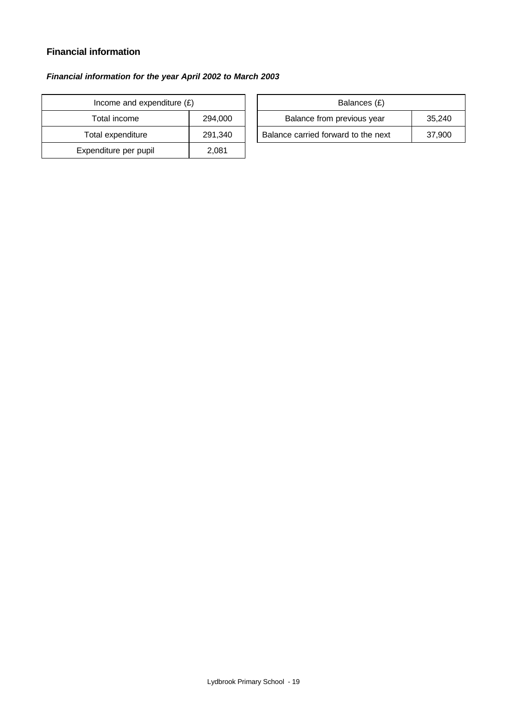# **Financial information**

#### *Financial information for the year April 2002 to March 2003*

| Income and expenditure $(E)$ |         | Balances (£)                       |
|------------------------------|---------|------------------------------------|
| Total income                 | 294,000 | Balance from previous year         |
| Total expenditure            | 291,340 | Balance carried forward to the net |
| Expenditure per pupil        | 2,081   |                                    |

| Income and expenditure $(E)$ |         | Balances (£)                        |        |
|------------------------------|---------|-------------------------------------|--------|
| Total income                 | 294.000 | Balance from previous year          | 35.240 |
| Total expenditure            | 291.340 | Balance carried forward to the next | 37,900 |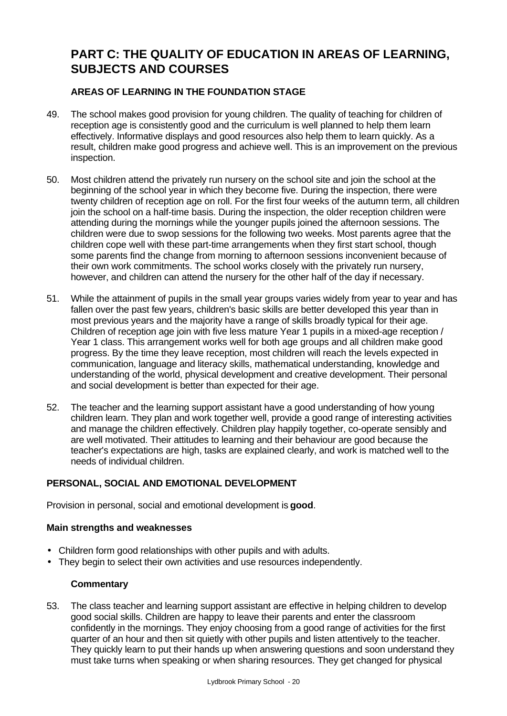# **PART C: THE QUALITY OF EDUCATION IN AREAS OF LEARNING, SUBJECTS AND COURSES**

# **AREAS OF LEARNING IN THE FOUNDATION STAGE**

- 49. The school makes good provision for young children. The quality of teaching for children of reception age is consistently good and the curriculum is well planned to help them learn effectively. Informative displays and good resources also help them to learn quickly. As a result, children make good progress and achieve well. This is an improvement on the previous inspection.
- 50. Most children attend the privately run nursery on the school site and join the school at the beginning of the school year in which they become five. During the inspection, there were twenty children of reception age on roll. For the first four weeks of the autumn term, all children join the school on a half-time basis. During the inspection, the older reception children were attending during the mornings while the younger pupils joined the afternoon sessions. The children were due to swop sessions for the following two weeks. Most parents agree that the children cope well with these part-time arrangements when they first start school, though some parents find the change from morning to afternoon sessions inconvenient because of their own work commitments. The school works closely with the privately run nursery, however, and children can attend the nursery for the other half of the day if necessary.
- 51. While the attainment of pupils in the small year groups varies widely from year to year and has fallen over the past few years, children's basic skills are better developed this year than in most previous years and the majority have a range of skills broadly typical for their age. Children of reception age join with five less mature Year 1 pupils in a mixed-age reception / Year 1 class. This arrangement works well for both age groups and all children make good progress. By the time they leave reception, most children will reach the levels expected in communication, language and literacy skills, mathematical understanding, knowledge and understanding of the world, physical development and creative development. Their personal and social development is better than expected for their age.
- 52. The teacher and the learning support assistant have a good understanding of how young children learn. They plan and work together well, provide a good range of interesting activities and manage the children effectively. Children play happily together, co-operate sensibly and are well motivated. Their attitudes to learning and their behaviour are good because the teacher's expectations are high, tasks are explained clearly, and work is matched well to the needs of individual children.

# **PERSONAL, SOCIAL AND EMOTIONAL DEVELOPMENT**

Provision in personal, social and emotional development is **good**.

## **Main strengths and weaknesses**

- Children form good relationships with other pupils and with adults.
- They begin to select their own activities and use resources independently.

# **Commentary**

53. The class teacher and learning support assistant are effective in helping children to develop good social skills. Children are happy to leave their parents and enter the classroom confidently in the mornings. They enjoy choosing from a good range of activities for the first quarter of an hour and then sit quietly with other pupils and listen attentively to the teacher. They quickly learn to put their hands up when answering questions and soon understand they must take turns when speaking or when sharing resources. They get changed for physical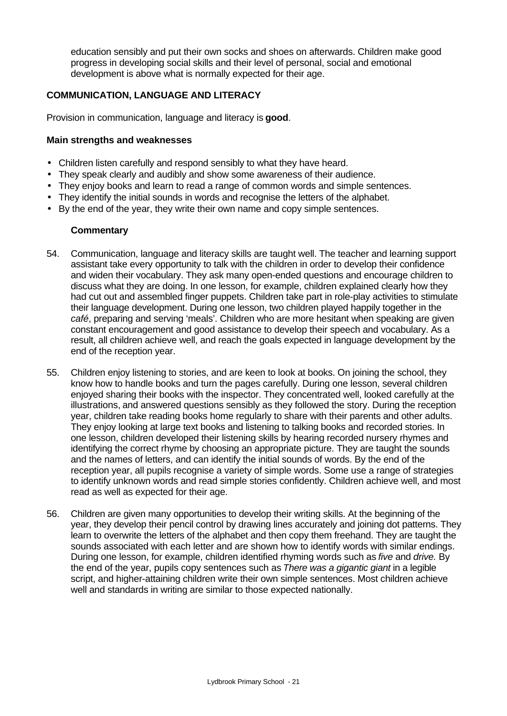education sensibly and put their own socks and shoes on afterwards. Children make good progress in developing social skills and their level of personal, social and emotional development is above what is normally expected for their age.

## **COMMUNICATION, LANGUAGE AND LITERACY**

Provision in communication, language and literacy is **good**.

#### **Main strengths and weaknesses**

- Children listen carefully and respond sensibly to what they have heard.
- They speak clearly and audibly and show some awareness of their audience.
- They enjoy books and learn to read a range of common words and simple sentences.
- They identify the initial sounds in words and recognise the letters of the alphabet.
- By the end of the year, they write their own name and copy simple sentences.

#### **Commentary**

- 54. Communication, language and literacy skills are taught well. The teacher and learning support assistant take every opportunity to talk with the children in order to develop their confidence and widen their vocabulary. They ask many open-ended questions and encourage children to discuss what they are doing. In one lesson, for example, children explained clearly how they had cut out and assembled finger puppets. Children take part in role-play activities to stimulate their language development. During one lesson, two children played happily together in the *café*, preparing and serving 'meals'. Children who are more hesitant when speaking are given constant encouragement and good assistance to develop their speech and vocabulary. As a result, all children achieve well, and reach the goals expected in language development by the end of the reception year.
- 55. Children enjoy listening to stories, and are keen to look at books. On joining the school, they know how to handle books and turn the pages carefully. During one lesson, several children enjoyed sharing their books with the inspector. They concentrated well, looked carefully at the illustrations, and answered questions sensibly as they followed the story. During the reception year, children take reading books home regularly to share with their parents and other adults. They enjoy looking at large text books and listening to talking books and recorded stories. In one lesson, children developed their listening skills by hearing recorded nursery rhymes and identifying the correct rhyme by choosing an appropriate picture. They are taught the sounds and the names of letters, and can identify the initial sounds of words. By the end of the reception year, all pupils recognise a variety of simple words. Some use a range of strategies to identify unknown words and read simple stories confidently. Children achieve well, and most read as well as expected for their age.
- 56. Children are given many opportunities to develop their writing skills. At the beginning of the year, they develop their pencil control by drawing lines accurately and joining dot patterns. They learn to overwrite the letters of the alphabet and then copy them freehand. They are taught the sounds associated with each letter and are shown how to identify words with similar endings. During one lesson, for example, children identified rhyming words such as *five* and *drive.* By the end of the year, pupils copy sentences such as *There was a gigantic giant* in a legible script, and higher-attaining children write their own simple sentences. Most children achieve well and standards in writing are similar to those expected nationally.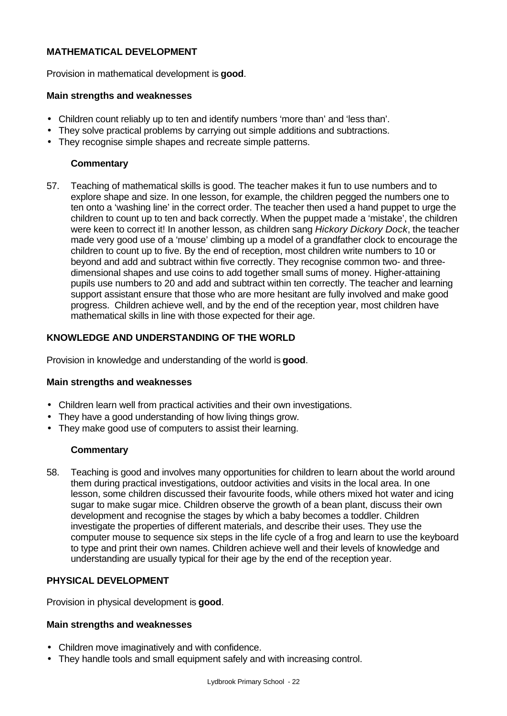## **MATHEMATICAL DEVELOPMENT**

Provision in mathematical development is **good**.

## **Main strengths and weaknesses**

- Children count reliably up to ten and identify numbers 'more than' and 'less than'.
- They solve practical problems by carrying out simple additions and subtractions.
- They recognise simple shapes and recreate simple patterns.

## **Commentary**

57. Teaching of mathematical skills is good. The teacher makes it fun to use numbers and to explore shape and size. In one lesson, for example, the children pegged the numbers one to ten onto a 'washing line' in the correct order. The teacher then used a hand puppet to urge the children to count up to ten and back correctly. When the puppet made a 'mistake', the children were keen to correct it! In another lesson, as children sang *Hickory Dickory Dock*, the teacher made very good use of a 'mouse' climbing up a model of a grandfather clock to encourage the children to count up to five. By the end of reception, most children write numbers to 10 or beyond and add and subtract within five correctly. They recognise common two- and threedimensional shapes and use coins to add together small sums of money. Higher-attaining pupils use numbers to 20 and add and subtract within ten correctly. The teacher and learning support assistant ensure that those who are more hesitant are fully involved and make good progress. Children achieve well, and by the end of the reception year, most children have mathematical skills in line with those expected for their age.

# **KNOWLEDGE AND UNDERSTANDING OF THE WORLD**

Provision in knowledge and understanding of the world is **good**.

## **Main strengths and weaknesses**

- Children learn well from practical activities and their own investigations.
- They have a good understanding of how living things grow.
- They make good use of computers to assist their learning.

## **Commentary**

58. Teaching is good and involves many opportunities for children to learn about the world around them during practical investigations, outdoor activities and visits in the local area. In one lesson, some children discussed their favourite foods, while others mixed hot water and icing sugar to make sugar mice. Children observe the growth of a bean plant, discuss their own development and recognise the stages by which a baby becomes a toddler. Children investigate the properties of different materials, and describe their uses. They use the computer mouse to sequence six steps in the life cycle of a frog and learn to use the keyboard to type and print their own names. Children achieve well and their levels of knowledge and understanding are usually typical for their age by the end of the reception year.

## **PHYSICAL DEVELOPMENT**

Provision in physical development is **good**.

#### **Main strengths and weaknesses**

- Children move imaginatively and with confidence.
- They handle tools and small equipment safely and with increasing control.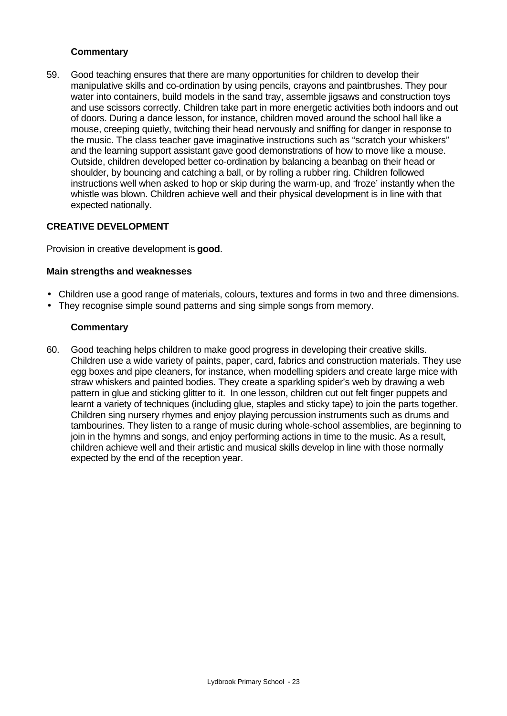## **Commentary**

59. Good teaching ensures that there are many opportunities for children to develop their manipulative skills and co-ordination by using pencils, crayons and paintbrushes. They pour water into containers, build models in the sand tray, assemble jigsaws and construction toys and use scissors correctly. Children take part in more energetic activities both indoors and out of doors. During a dance lesson, for instance, children moved around the school hall like a mouse, creeping quietly, twitching their head nervously and sniffing for danger in response to the music. The class teacher gave imaginative instructions such as "scratch your whiskers" and the learning support assistant gave good demonstrations of how to move like a mouse. Outside, children developed better co-ordination by balancing a beanbag on their head or shoulder, by bouncing and catching a ball, or by rolling a rubber ring. Children followed instructions well when asked to hop or skip during the warm-up, and 'froze' instantly when the whistle was blown. Children achieve well and their physical development is in line with that expected nationally.

## **CREATIVE DEVELOPMENT**

Provision in creative development is **good**.

## **Main strengths and weaknesses**

- Children use a good range of materials, colours, textures and forms in two and three dimensions.
- They recognise simple sound patterns and sing simple songs from memory.

#### **Commentary**

60. Good teaching helps children to make good progress in developing their creative skills. Children use a wide variety of paints, paper, card, fabrics and construction materials. They use egg boxes and pipe cleaners, for instance, when modelling spiders and create large mice with straw whiskers and painted bodies. They create a sparkling spider's web by drawing a web pattern in glue and sticking glitter to it. In one lesson, children cut out felt finger puppets and learnt a variety of techniques (including glue, staples and sticky tape) to join the parts together. Children sing nursery rhymes and enjoy playing percussion instruments such as drums and tambourines. They listen to a range of music during whole-school assemblies, are beginning to join in the hymns and songs, and enjoy performing actions in time to the music. As a result, children achieve well and their artistic and musical skills develop in line with those normally expected by the end of the reception year.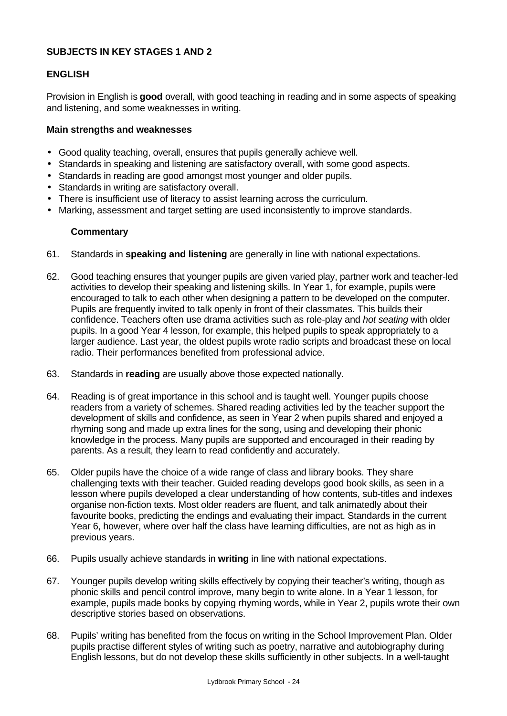## **SUBJECTS IN KEY STAGES 1 AND 2**

## **ENGLISH**

Provision in English is **good** overall, with good teaching in reading and in some aspects of speaking and listening, and some weaknesses in writing.

## **Main strengths and weaknesses**

- Good quality teaching, overall, ensures that pupils generally achieve well.
- Standards in speaking and listening are satisfactory overall, with some good aspects.
- Standards in reading are good amongst most younger and older pupils.
- Standards in writing are satisfactory overall.
- There is insufficient use of literacy to assist learning across the curriculum.
- Marking, assessment and target setting are used inconsistently to improve standards.

## **Commentary**

- 61. Standards in **speaking and listening** are generally in line with national expectations.
- 62. Good teaching ensures that younger pupils are given varied play, partner work and teacher-led activities to develop their speaking and listening skills. In Year 1, for example, pupils were encouraged to talk to each other when designing a pattern to be developed on the computer. Pupils are frequently invited to talk openly in front of their classmates. This builds their confidence. Teachers often use drama activities such as role-play and *hot seating* with older pupils. In a good Year 4 lesson, for example, this helped pupils to speak appropriately to a larger audience. Last year, the oldest pupils wrote radio scripts and broadcast these on local radio. Their performances benefited from professional advice.
- 63. Standards in **reading** are usually above those expected nationally.
- 64. Reading is of great importance in this school and is taught well. Younger pupils choose readers from a variety of schemes. Shared reading activities led by the teacher support the development of skills and confidence, as seen in Year 2 when pupils shared and enjoyed a rhyming song and made up extra lines for the song, using and developing their phonic knowledge in the process. Many pupils are supported and encouraged in their reading by parents. As a result, they learn to read confidently and accurately.
- 65. Older pupils have the choice of a wide range of class and library books. They share challenging texts with their teacher. Guided reading develops good book skills, as seen in a lesson where pupils developed a clear understanding of how contents, sub-titles and indexes organise non-fiction texts. Most older readers are fluent, and talk animatedly about their favourite books, predicting the endings and evaluating their impact. Standards in the current Year 6, however, where over half the class have learning difficulties, are not as high as in previous years.
- 66. Pupils usually achieve standards in **writing** in line with national expectations.
- 67. Younger pupils develop writing skills effectively by copying their teacher's writing, though as phonic skills and pencil control improve, many begin to write alone. In a Year 1 lesson, for example, pupils made books by copying rhyming words, while in Year 2, pupils wrote their own descriptive stories based on observations.
- 68. Pupils' writing has benefited from the focus on writing in the School Improvement Plan. Older pupils practise different styles of writing such as poetry, narrative and autobiography during English lessons, but do not develop these skills sufficiently in other subjects. In a well-taught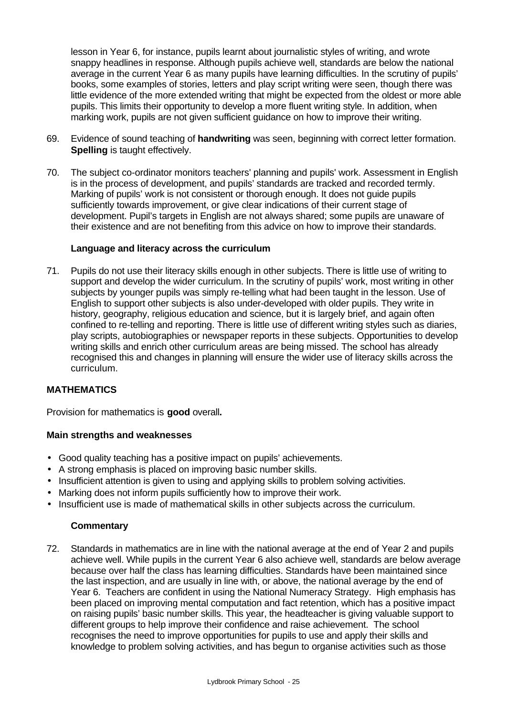lesson in Year 6, for instance, pupils learnt about journalistic styles of writing, and wrote snappy headlines in response. Although pupils achieve well, standards are below the national average in the current Year 6 as many pupils have learning difficulties. In the scrutiny of pupils' books, some examples of stories, letters and play script writing were seen, though there was little evidence of the more extended writing that might be expected from the oldest or more able pupils. This limits their opportunity to develop a more fluent writing style. In addition, when marking work, pupils are not given sufficient guidance on how to improve their writing.

- 69. Evidence of sound teaching of **handwriting** was seen, beginning with correct letter formation. **Spelling** is taught effectively.
- 70. The subject co-ordinator monitors teachers' planning and pupils' work. Assessment in English is in the process of development, and pupils' standards are tracked and recorded termly. Marking of pupils' work is not consistent or thorough enough. It does not guide pupils sufficiently towards improvement, or give clear indications of their current stage of development. Pupil's targets in English are not always shared; some pupils are unaware of their existence and are not benefiting from this advice on how to improve their standards.

## **Language and literacy across the curriculum**

71. Pupils do not use their literacy skills enough in other subjects. There is little use of writing to support and develop the wider curriculum. In the scrutiny of pupils' work, most writing in other subjects by younger pupils was simply re-telling what had been taught in the lesson. Use of English to support other subjects is also under-developed with older pupils. They write in history, geography, religious education and science, but it is largely brief, and again often confined to re-telling and reporting. There is little use of different writing styles such as diaries, play scripts, autobiographies or newspaper reports in these subjects. Opportunities to develop writing skills and enrich other curriculum areas are being missed. The school has already recognised this and changes in planning will ensure the wider use of literacy skills across the curriculum.

# **MATHEMATICS**

Provision for mathematics is **good** overall**.**

## **Main strengths and weaknesses**

- Good quality teaching has a positive impact on pupils' achievements.
- A strong emphasis is placed on improving basic number skills.
- Insufficient attention is given to using and applying skills to problem solving activities.
- Marking does not inform pupils sufficiently how to improve their work.
- Insufficient use is made of mathematical skills in other subjects across the curriculum.

## **Commentary**

72. Standards in mathematics are in line with the national average at the end of Year 2 and pupils achieve well. While pupils in the current Year 6 also achieve well, standards are below average because over half the class has learning difficulties. Standards have been maintained since the last inspection, and are usually in line with, or above, the national average by the end of Year 6. Teachers are confident in using the National Numeracy Strategy. High emphasis has been placed on improving mental computation and fact retention, which has a positive impact on raising pupils' basic number skills. This year, the headteacher is giving valuable support to different groups to help improve their confidence and raise achievement. The school recognises the need to improve opportunities for pupils to use and apply their skills and knowledge to problem solving activities, and has begun to organise activities such as those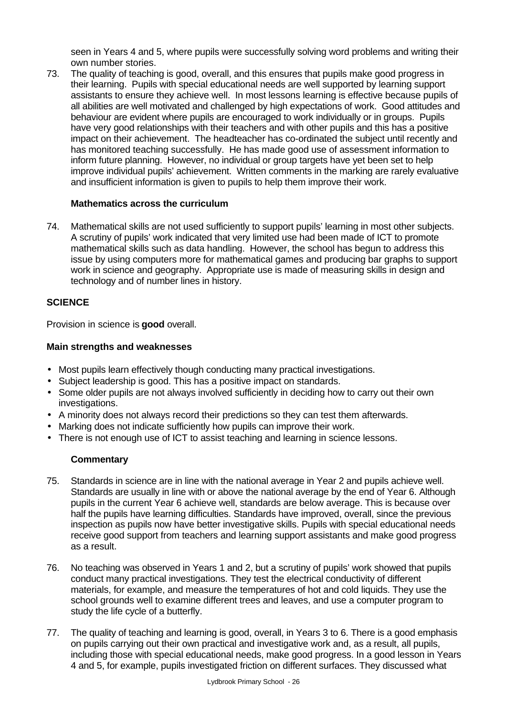seen in Years 4 and 5, where pupils were successfully solving word problems and writing their own number stories.

73. The quality of teaching is good, overall, and this ensures that pupils make good progress in their learning. Pupils with special educational needs are well supported by learning support assistants to ensure they achieve well. In most lessons learning is effective because pupils of all abilities are well motivated and challenged by high expectations of work. Good attitudes and behaviour are evident where pupils are encouraged to work individually or in groups. Pupils have very good relationships with their teachers and with other pupils and this has a positive impact on their achievement. The headteacher has co-ordinated the subject until recently and has monitored teaching successfully. He has made good use of assessment information to inform future planning. However, no individual or group targets have yet been set to help improve individual pupils' achievement. Written comments in the marking are rarely evaluative and insufficient information is given to pupils to help them improve their work.

## **Mathematics across the curriculum**

74. Mathematical skills are not used sufficiently to support pupils' learning in most other subjects. A scrutiny of pupils' work indicated that very limited use had been made of ICT to promote mathematical skills such as data handling. However, the school has begun to address this issue by using computers more for mathematical games and producing bar graphs to support work in science and geography. Appropriate use is made of measuring skills in design and technology and of number lines in history.

# **SCIENCE**

Provision in science is **good** overall.

## **Main strengths and weaknesses**

- Most pupils learn effectively though conducting many practical investigations.
- Subject leadership is good. This has a positive impact on standards.
- Some older pupils are not always involved sufficiently in deciding how to carry out their own investigations.
- A minority does not always record their predictions so they can test them afterwards.
- Marking does not indicate sufficiently how pupils can improve their work.
- There is not enough use of ICT to assist teaching and learning in science lessons.

# **Commentary**

- 75. Standards in science are in line with the national average in Year 2 and pupils achieve well. Standards are usually in line with or above the national average by the end of Year 6. Although pupils in the current Year 6 achieve well, standards are below average. This is because over half the pupils have learning difficulties. Standards have improved, overall, since the previous inspection as pupils now have better investigative skills. Pupils with special educational needs receive good support from teachers and learning support assistants and make good progress as a result.
- 76. No teaching was observed in Years 1 and 2, but a scrutiny of pupils' work showed that pupils conduct many practical investigations. They test the electrical conductivity of different materials, for example, and measure the temperatures of hot and cold liquids. They use the school grounds well to examine different trees and leaves, and use a computer program to study the life cycle of a butterfly.
- 77. The quality of teaching and learning is good, overall, in Years 3 to 6. There is a good emphasis on pupils carrying out their own practical and investigative work and, as a result, all pupils, including those with special educational needs, make good progress. In a good lesson in Years 4 and 5, for example, pupils investigated friction on different surfaces. They discussed what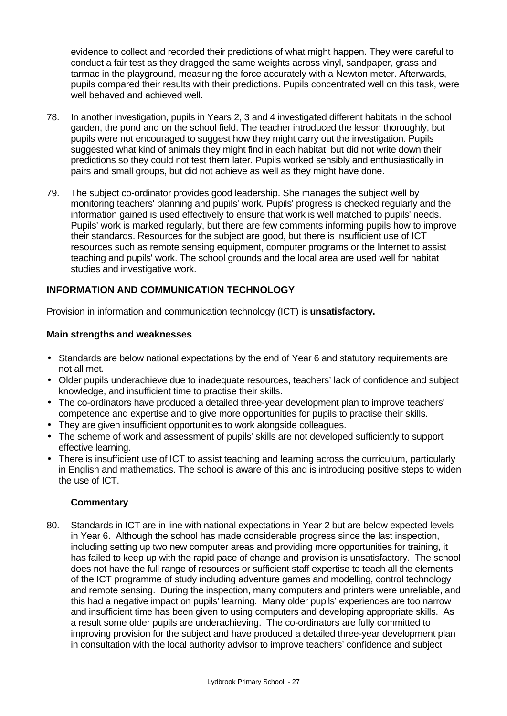evidence to collect and recorded their predictions of what might happen. They were careful to conduct a fair test as they dragged the same weights across vinyl, sandpaper, grass and tarmac in the playground, measuring the force accurately with a Newton meter. Afterwards, pupils compared their results with their predictions. Pupils concentrated well on this task, were well behaved and achieved well.

- 78. In another investigation, pupils in Years 2, 3 and 4 investigated different habitats in the school garden, the pond and on the school field. The teacher introduced the lesson thoroughly, but pupils were not encouraged to suggest how they might carry out the investigation. Pupils suggested what kind of animals they might find in each habitat, but did not write down their predictions so they could not test them later. Pupils worked sensibly and enthusiastically in pairs and small groups, but did not achieve as well as they might have done.
- 79. The subject co-ordinator provides good leadership. She manages the subject well by monitoring teachers' planning and pupils' work. Pupils' progress is checked regularly and the information gained is used effectively to ensure that work is well matched to pupils' needs. Pupils' work is marked regularly, but there are few comments informing pupils how to improve their standards. Resources for the subject are good, but there is insufficient use of ICT resources such as remote sensing equipment, computer programs or the Internet to assist teaching and pupils' work. The school grounds and the local area are used well for habitat studies and investigative work.

# **INFORMATION AND COMMUNICATION TECHNOLOGY**

Provision in information and communication technology (ICT) is **unsatisfactory.**

#### **Main strengths and weaknesses**

- Standards are below national expectations by the end of Year 6 and statutory requirements are not all met.
- Older pupils underachieve due to inadequate resources, teachers' lack of confidence and subject knowledge, and insufficient time to practise their skills.
- The co-ordinators have produced a detailed three-year development plan to improve teachers' competence and expertise and to give more opportunities for pupils to practise their skills.
- They are given insufficient opportunities to work alongside colleagues.
- The scheme of work and assessment of pupils' skills are not developed sufficiently to support effective learning.
- There is insufficient use of ICT to assist teaching and learning across the curriculum, particularly in English and mathematics. The school is aware of this and is introducing positive steps to widen the use of ICT.

## **Commentary**

80. Standards in ICT are in line with national expectations in Year 2 but are below expected levels in Year 6. Although the school has made considerable progress since the last inspection, including setting up two new computer areas and providing more opportunities for training, it has failed to keep up with the rapid pace of change and provision is unsatisfactory. The school does not have the full range of resources or sufficient staff expertise to teach all the elements of the ICT programme of study including adventure games and modelling, control technology and remote sensing. During the inspection, many computers and printers were unreliable, and this had a negative impact on pupils' learning. Many older pupils' experiences are too narrow and insufficient time has been given to using computers and developing appropriate skills. As a result some older pupils are underachieving. The co-ordinators are fully committed to improving provision for the subject and have produced a detailed three-year development plan in consultation with the local authority advisor to improve teachers' confidence and subject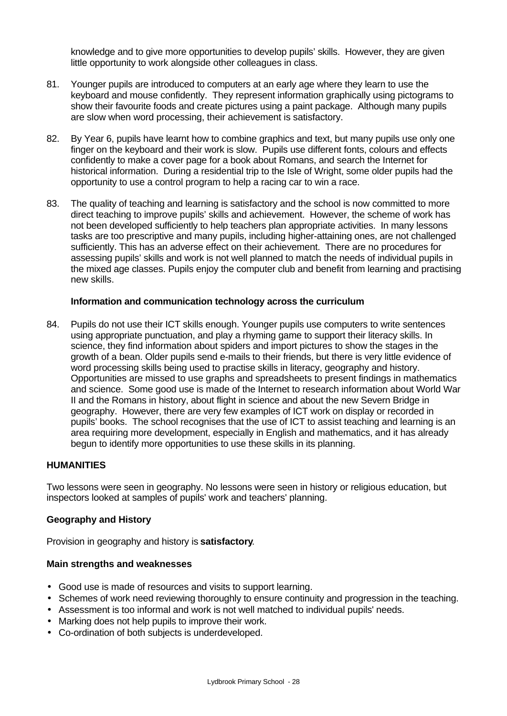knowledge and to give more opportunities to develop pupils' skills. However, they are given little opportunity to work alongside other colleagues in class.

- 81. Younger pupils are introduced to computers at an early age where they learn to use the keyboard and mouse confidently. They represent information graphically using pictograms to show their favourite foods and create pictures using a paint package. Although many pupils are slow when word processing, their achievement is satisfactory.
- 82. By Year 6, pupils have learnt how to combine graphics and text, but many pupils use only one finger on the keyboard and their work is slow. Pupils use different fonts, colours and effects confidently to make a cover page for a book about Romans, and search the Internet for historical information. During a residential trip to the Isle of Wright, some older pupils had the opportunity to use a control program to help a racing car to win a race.
- 83. The quality of teaching and learning is satisfactory and the school is now committed to more direct teaching to improve pupils' skills and achievement. However, the scheme of work has not been developed sufficiently to help teachers plan appropriate activities. In many lessons tasks are too prescriptive and many pupils, including higher-attaining ones, are not challenged sufficiently. This has an adverse effect on their achievement. There are no procedures for assessing pupils' skills and work is not well planned to match the needs of individual pupils in the mixed age classes. Pupils enjoy the computer club and benefit from learning and practising new skills.

#### **Information and communication technology across the curriculum**

84. Pupils do not use their ICT skills enough. Younger pupils use computers to write sentences using appropriate punctuation, and play a rhyming game to support their literacy skills. In science, they find information about spiders and import pictures to show the stages in the growth of a bean. Older pupils send e-mails to their friends, but there is very little evidence of word processing skills being used to practise skills in literacy, geography and history. Opportunities are missed to use graphs and spreadsheets to present findings in mathematics and science. Some good use is made of the Internet to research information about World War II and the Romans in history, about flight in science and about the new Severn Bridge in geography. However, there are very few examples of ICT work on display or recorded in pupils' books. The school recognises that the use of ICT to assist teaching and learning is an area requiring more development, especially in English and mathematics, and it has already begun to identify more opportunities to use these skills in its planning.

## **HUMANITIES**

Two lessons were seen in geography. No lessons were seen in history or religious education, but inspectors looked at samples of pupils' work and teachers' planning.

#### **Geography and History**

Provision in geography and history is **satisfactory**.

#### **Main strengths and weaknesses**

- Good use is made of resources and visits to support learning.
- Schemes of work need reviewing thoroughly to ensure continuity and progression in the teaching.
- Assessment is too informal and work is not well matched to individual pupils' needs.
- Marking does not help pupils to improve their work.
- Co-ordination of both subjects is underdeveloped.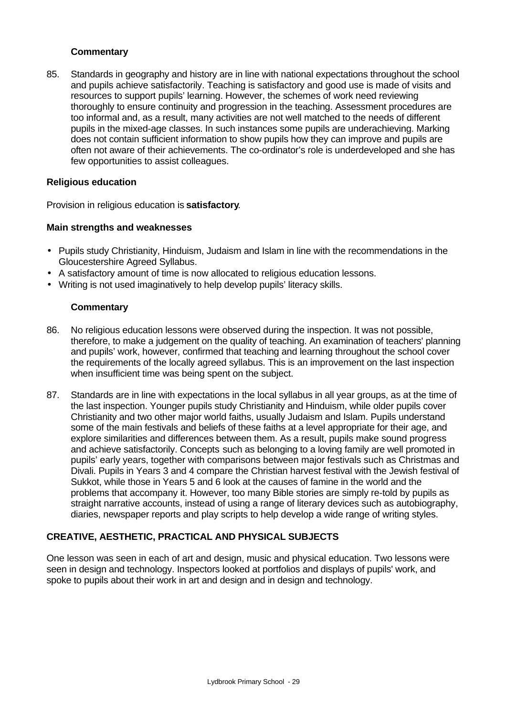## **Commentary**

85. Standards in geography and history are in line with national expectations throughout the school and pupils achieve satisfactorily. Teaching is satisfactory and good use is made of visits and resources to support pupils' learning. However, the schemes of work need reviewing thoroughly to ensure continuity and progression in the teaching. Assessment procedures are too informal and, as a result, many activities are not well matched to the needs of different pupils in the mixed-age classes. In such instances some pupils are underachieving. Marking does not contain sufficient information to show pupils how they can improve and pupils are often not aware of their achievements. The co-ordinator's role is underdeveloped and she has few opportunities to assist colleagues.

## **Religious education**

Provision in religious education is **satisfactory**.

## **Main strengths and weaknesses**

- Pupils study Christianity, Hinduism, Judaism and Islam in line with the recommendations in the Gloucestershire Agreed Syllabus.
- A satisfactory amount of time is now allocated to religious education lessons.
- Writing is not used imaginatively to help develop pupils' literacy skills.

## **Commentary**

- 86. No religious education lessons were observed during the inspection. It was not possible, therefore, to make a judgement on the quality of teaching. An examination of teachers' planning and pupils' work, however, confirmed that teaching and learning throughout the school cover the requirements of the locally agreed syllabus. This is an improvement on the last inspection when insufficient time was being spent on the subject.
- 87. Standards are in line with expectations in the local syllabus in all year groups, as at the time of the last inspection. Younger pupils study Christianity and Hinduism, while older pupils cover Christianity and two other major world faiths, usually Judaism and Islam. Pupils understand some of the main festivals and beliefs of these faiths at a level appropriate for their age, and explore similarities and differences between them. As a result, pupils make sound progress and achieve satisfactorily. Concepts such as belonging to a loving family are well promoted in pupils' early years, together with comparisons between major festivals such as Christmas and Divali. Pupils in Years 3 and 4 compare the Christian harvest festival with the Jewish festival of Sukkot, while those in Years 5 and 6 look at the causes of famine in the world and the problems that accompany it. However, too many Bible stories are simply re-told by pupils as straight narrative accounts, instead of using a range of literary devices such as autobiography, diaries, newspaper reports and play scripts to help develop a wide range of writing styles.

# **CREATIVE, AESTHETIC, PRACTICAL AND PHYSICAL SUBJECTS**

One lesson was seen in each of art and design, music and physical education. Two lessons were seen in design and technology. Inspectors looked at portfolios and displays of pupils' work, and spoke to pupils about their work in art and design and in design and technology.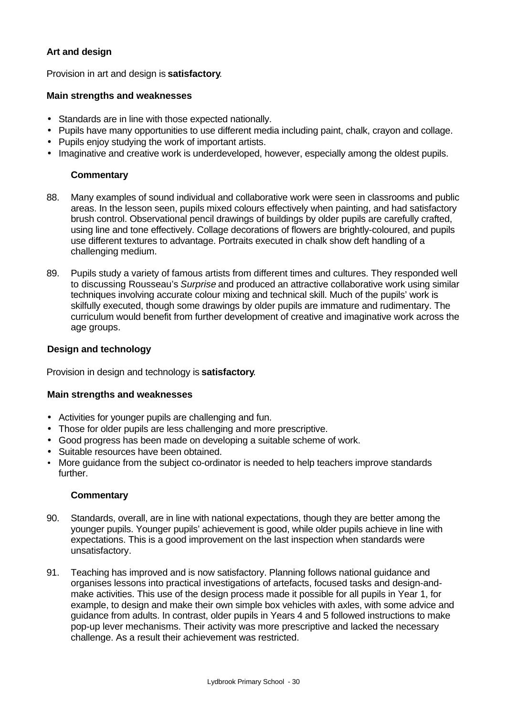## **Art and design**

Provision in art and design is **satisfactory**.

## **Main strengths and weaknesses**

- Standards are in line with those expected nationally.
- Pupils have many opportunities to use different media including paint, chalk, crayon and collage.
- Pupils enjoy studying the work of important artists.
- Imaginative and creative work is underdeveloped, however, especially among the oldest pupils.

## **Commentary**

- 88. Many examples of sound individual and collaborative work were seen in classrooms and public areas. In the lesson seen, pupils mixed colours effectively when painting, and had satisfactory brush control. Observational pencil drawings of buildings by older pupils are carefully crafted, using line and tone effectively. Collage decorations of flowers are brightly-coloured, and pupils use different textures to advantage. Portraits executed in chalk show deft handling of a challenging medium.
- 89. Pupils study a variety of famous artists from different times and cultures. They responded well to discussing Rousseau's *Surprise* and produced an attractive collaborative work using similar techniques involving accurate colour mixing and technical skill. Much of the pupils' work is skilfully executed, though some drawings by older pupils are immature and rudimentary. The curriculum would benefit from further development of creative and imaginative work across the age groups.

## **Design and technology**

Provision in design and technology is **satisfactory**.

## **Main strengths and weaknesses**

- Activities for younger pupils are challenging and fun.
- Those for older pupils are less challenging and more prescriptive.
- Good progress has been made on developing a suitable scheme of work.
- Suitable resources have been obtained.
- More guidance from the subject co-ordinator is needed to help teachers improve standards further.

## **Commentary**

- 90. Standards, overall, are in line with national expectations, though they are better among the younger pupils. Younger pupils' achievement is good, while older pupils achieve in line with expectations. This is a good improvement on the last inspection when standards were unsatisfactory.
- 91. Teaching has improved and is now satisfactory. Planning follows national guidance and organises lessons into practical investigations of artefacts, focused tasks and design-andmake activities. This use of the design process made it possible for all pupils in Year 1, for example, to design and make their own simple box vehicles with axles, with some advice and guidance from adults. In contrast, older pupils in Years 4 and 5 followed instructions to make pop-up lever mechanisms. Their activity was more prescriptive and lacked the necessary challenge. As a result their achievement was restricted.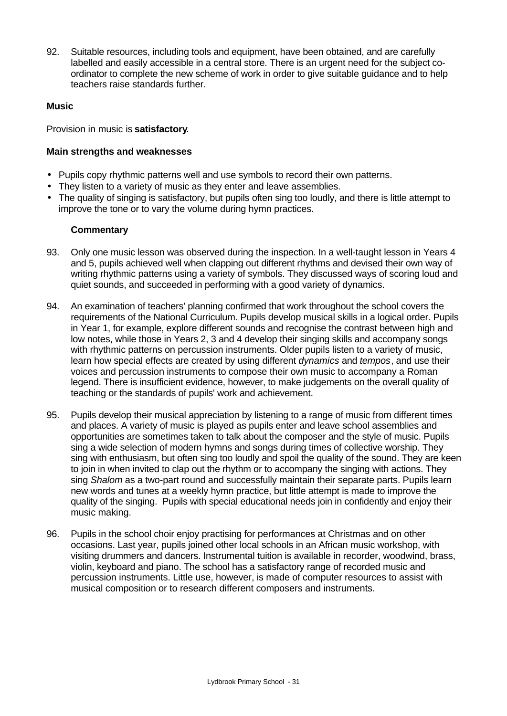92. Suitable resources, including tools and equipment, have been obtained, and are carefully labelled and easily accessible in a central store. There is an urgent need for the subject coordinator to complete the new scheme of work in order to give suitable guidance and to help teachers raise standards further.

## **Music**

Provision in music is **satisfactory**.

## **Main strengths and weaknesses**

- Pupils copy rhythmic patterns well and use symbols to record their own patterns.
- They listen to a variety of music as they enter and leave assemblies.
- The quality of singing is satisfactory, but pupils often sing too loudly, and there is little attempt to improve the tone or to vary the volume during hymn practices.

## **Commentary**

- 93. Only one music lesson was observed during the inspection. In a well-taught lesson in Years 4 and 5, pupils achieved well when clapping out different rhythms and devised their own way of writing rhythmic patterns using a variety of symbols. They discussed ways of scoring loud and quiet sounds, and succeeded in performing with a good variety of dynamics.
- 94. An examination of teachers' planning confirmed that work throughout the school covers the requirements of the National Curriculum. Pupils develop musical skills in a logical order. Pupils in Year 1, for example, explore different sounds and recognise the contrast between high and low notes, while those in Years 2, 3 and 4 develop their singing skills and accompany songs with rhythmic patterns on percussion instruments. Older pupils listen to a variety of music, learn how special effects are created by using different *dynamics* and *tempos*, and use their voices and percussion instruments to compose their own music to accompany a Roman legend. There is insufficient evidence, however, to make judgements on the overall quality of teaching or the standards of pupils' work and achievement.
- 95. Pupils develop their musical appreciation by listening to a range of music from different times and places. A variety of music is played as pupils enter and leave school assemblies and opportunities are sometimes taken to talk about the composer and the style of music. Pupils sing a wide selection of modern hymns and songs during times of collective worship. They sing with enthusiasm, but often sing too loudly and spoil the quality of the sound. They are keen to join in when invited to clap out the rhythm or to accompany the singing with actions. They sing *Shalom* as a two-part round and successfully maintain their separate parts. Pupils learn new words and tunes at a weekly hymn practice, but little attempt is made to improve the quality of the singing. Pupils with special educational needs join in confidently and enjoy their music making.
- 96. Pupils in the school choir enjoy practising for performances at Christmas and on other occasions. Last year, pupils joined other local schools in an African music workshop, with visiting drummers and dancers. Instrumental tuition is available in recorder, woodwind, brass, violin, keyboard and piano. The school has a satisfactory range of recorded music and percussion instruments. Little use, however, is made of computer resources to assist with musical composition or to research different composers and instruments.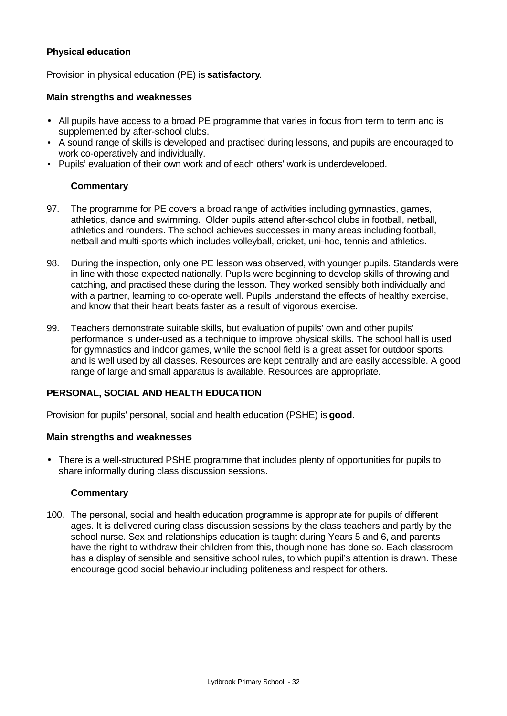## **Physical education**

Provision in physical education (PE) is **satisfactory**.

#### **Main strengths and weaknesses**

- All pupils have access to a broad PE programme that varies in focus from term to term and is supplemented by after-school clubs.
- A sound range of skills is developed and practised during lessons, and pupils are encouraged to work co-operatively and individually.
- Pupils' evaluation of their own work and of each others' work is underdeveloped.

## **Commentary**

- 97. The programme for PE covers a broad range of activities including gymnastics, games, athletics, dance and swimming. Older pupils attend after-school clubs in football, netball, athletics and rounders. The school achieves successes in many areas including football, netball and multi-sports which includes volleyball, cricket, uni-hoc, tennis and athletics.
- 98. During the inspection, only one PE lesson was observed, with younger pupils. Standards were in line with those expected nationally. Pupils were beginning to develop skills of throwing and catching, and practised these during the lesson. They worked sensibly both individually and with a partner, learning to co-operate well. Pupils understand the effects of healthy exercise, and know that their heart beats faster as a result of vigorous exercise.
- 99. Teachers demonstrate suitable skills, but evaluation of pupils' own and other pupils' performance is under-used as a technique to improve physical skills. The school hall is used for gymnastics and indoor games, while the school field is a great asset for outdoor sports, and is well used by all classes. Resources are kept centrally and are easily accessible. A good range of large and small apparatus is available. Resources are appropriate.

## **PERSONAL, SOCIAL AND HEALTH EDUCATION**

Provision for pupils' personal, social and health education (PSHE) is **good**.

## **Main strengths and weaknesses**

• There is a well-structured PSHE programme that includes plenty of opportunities for pupils to share informally during class discussion sessions.

## **Commentary**

100. The personal, social and health education programme is appropriate for pupils of different ages. It is delivered during class discussion sessions by the class teachers and partly by the school nurse. Sex and relationships education is taught during Years 5 and 6, and parents have the right to withdraw their children from this, though none has done so. Each classroom has a display of sensible and sensitive school rules, to which pupil's attention is drawn. These encourage good social behaviour including politeness and respect for others.